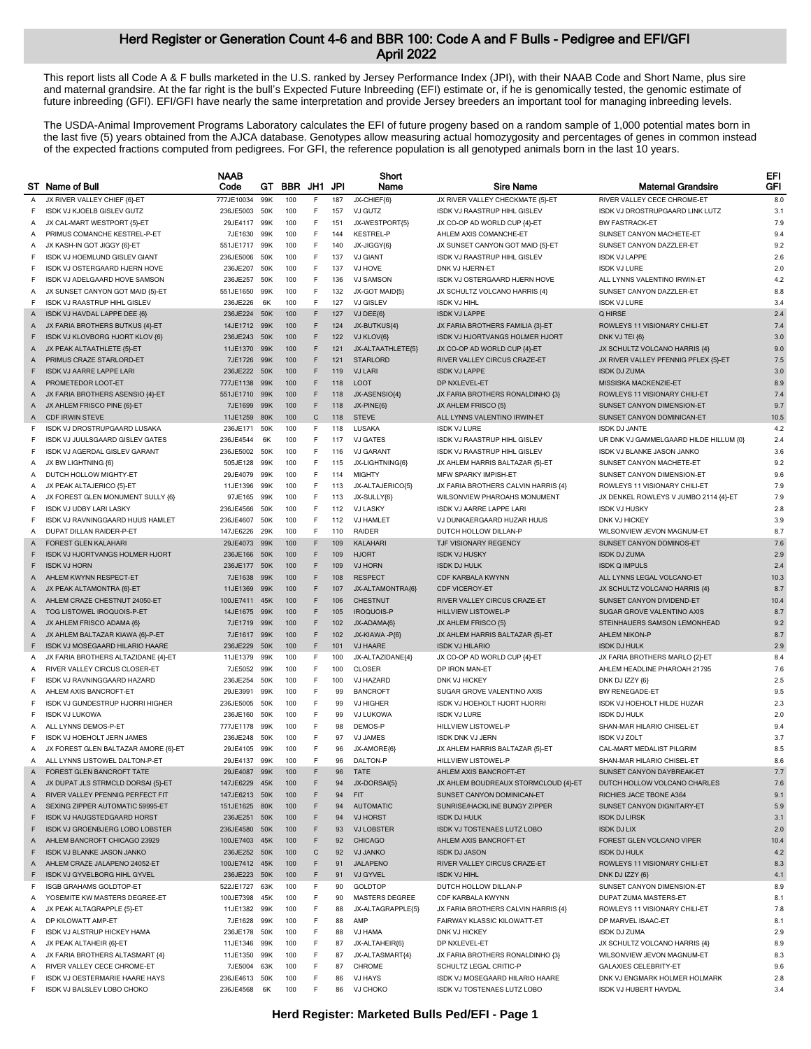This report lists all Code A & F bulls marketed in the U.S. ranked by Jersey Performance Index (JPI), with their NAAB Code and Short Name, plus sire and maternal grandsire. At the far right is the bull's Expected Future Inbreeding (EFI) estimate or, if he is genomically tested, the genomic estimate of future inbreeding (GFI). EFI/GFI have nearly the same interpretation and provide Jersey breeders an important tool for managing inbreeding levels.

The USDA-Animal Improvement Programs Laboratory calculates the EFI of future progeny based on a random sample of 1,000 potential mates born in the last five (5) years obtained from the AJCA database. Genotypes allow measuring actual homozygosity and percentages of genes in common instead of the expected fractions computed from pedigrees. For GFI, the reference population is all genotyped animals born in the last 10 years.

|              |                                        | <b>NAAB</b>   |     |            |              |     | Short             |                                      |                                        | EFI        |
|--------------|----------------------------------------|---------------|-----|------------|--------------|-----|-------------------|--------------------------------------|----------------------------------------|------------|
|              | ST Name of Bull                        | Code          | GT. | <b>BBR</b> | JH1 JPI      |     | Name              | <b>Sire Name</b>                     | <b>Matemal Grandsire</b>               | <b>GFI</b> |
| Α            | JX RIVER VALLEY CHIEF {6}-ET           | 777JE10034    | 99K | 100        | F            | 187 | JX-CHIEF{6}       | JX RIVER VALLEY CHECKMATE {5}-ET     | RIVER VALLEY CECE CHROME-ET            | 8.0        |
| F            | ISDK VJ KJOELB GISLEV GUTZ             | 236JE5003     | 50K | 100        | F            | 157 | VJ GUTZ           | ISDK VJ RAASTRUP HIHL GISLEV         | ISDK VJ DROSTRUPGAARD LINK LUTZ        | 3.1        |
| Α            | JX CAL-MART WESTPORT {5}-ET            | 29JE4117      | 99K | 100        | F            | 151 | JX-WESTPORT{5}    | JX CO-OP AD WORLD CUP {4}-ET         | <b>BW FASTRACK-ET</b>                  | 7.9        |
| Α            | PRIMUS COMANCHE KESTREL-P-ET           | 7JE1630       | 99K | 100        | F            | 144 | <b>KESTREL-P</b>  | AHLEM AXIS COMANCHE-ET               | SUNSET CANYON MACHETE-ET               | 9.4        |
| A            | JX KASH-IN GOT JIGGY {6}-ET            | 551JE1717     | 99K | 100        | F            | 140 | JX-JIGGY{6}       | JX SUNSET CANYON GOT MAID {5}-ET     | SUNSET CANYON DAZZLER-ET               | 9.2        |
| F            | ISDK VJ HOEMLUND GISLEV GIANT          | 236JE5006     | 50K | 100        | F            | 137 | <b>VJ GIANT</b>   | ISDK VJ RAASTRUP HIHL GISLEV         | <b>ISDK VJ LAPPE</b>                   | 2.6        |
| F            | ISDK VJ OSTERGAARD HJERN HOVE          | 236JE207      | 50K | 100        | F.           | 137 | VJ HOVE           | DNK VJ HJERN-ET                      | <b>ISDK VJ LURE</b>                    | 2.0        |
| F            | ISDK VJ ADELGAARD HOVE SAMSON          | 236JE257      | 50K | 100        | F            | 136 | <b>VJ SAMSON</b>  | ISDK VJ OSTERGAARD HJERN HOVE        | ALL LYNNS VALENTINO IRWIN-ET           | 4.2        |
| A            | JX SUNSET CANYON GOT MAID {5}-ET       | 551JE1650     | 99K | 100        | F            | 132 | JX-GOT MAID{5}    | JX SCHULTZ VOLCANO HARRIS {4}        | SUNSET CANYON DAZZLER-ET               | 8.8        |
| F            | ISDK VJ RAASTRUP HIHL GISLEV           | 236JE226      | 6K  | 100        | F            | 127 | VJ GISLEV         | <b>ISDK VJ HIHL</b>                  | <b>ISDK VJ LURE</b>                    | 3.4        |
| Α            | ISDK VJ HAVDAL LAPPE DEE {6}           | 236JE224 50K  |     | 100        | F            | 127 | VJ DEE{6}         | <b>ISDK VJ LAPPE</b>                 | Q HIRSE                                | 2.4        |
| A            | JX FARIA BROTHERS BUTKUS {4}-ET        | 14JE1712 99K  |     | 100        | F            | 124 | JX-BUTKUS{4}      | JX FARIA BROTHERS FAMILIA {3}-ET     | ROWLEYS 11 VISIONARY CHILI-ET          | 7.4        |
| F            | ISDK VJ KLOVBORG HJORT KLOV {6}        | 236JE243      | 50K | 100        | F            | 122 | VJ KLOV{6}        | ISDK VJ HJORTVANGS HOLMER HJORT      | DNK VJ TEI {6}                         | 3.0        |
|              | JX PEAK ALTAATHLETE {5}-ET             | 11JE1370      | 99K | 100        | F            | 121 | JX-ALTAATHLETE{5} | JX CO-OP AD WORLD CUP {4}-ET         | JX SCHULTZ VOLCANO HARRIS {4}          | 9.0        |
| Α            | PRIMUS CRAZE STARLORD-ET               | 7JE1726       | 99K | 100        | F            | 121 | <b>STARLORD</b>   | RIVER VALLEY CIRCUS CRAZE-ET         | JX RIVER VALLEY PFENNIG PFLEX {5}-ET   | 7.5        |
| A            |                                        |               |     |            |              |     |                   |                                      |                                        |            |
| F            | ISDK VJ AARRE LAPPE LARI               | 236JE222      | 50K | 100        | F            | 119 | <b>VJ LARI</b>    | <b>ISDK VJ LAPPE</b>                 | <b>ISDK DJ ZUMA</b>                    | 3.0        |
| Α            | PROMETEDOR LOOT-ET                     | 777JE1138     | 99K | 100        | F            | 118 | <b>LOOT</b>       | DP NXLEVEL-ET                        | MISSISKA MACKENZIE-ET                  | 8.9        |
| A            | JX FARIA BROTHERS ASENSIO {4}-ET       | 551JE1710     | 99K | 100        | F            | 118 | JX-ASENSIO{4}     | JX FARIA BROTHERS RONALDINHO {3}     | ROWLEYS 11 VISIONARY CHILI-ET          | 7.4        |
| A            | JX AHLEM FRISCO PINE {6}-ET            | 7JE1699 99K   |     | 100        | F            | 118 | JX-PINE{6}        | JX AHLEM FRISCO {5}                  | SUNSET CANYON DIMENSION-ET             | 9.7        |
| A            | <b>CDF IRWIN STEVE</b>                 | 11JE1259      | 80K | 100        | $\mathsf{C}$ | 118 | <b>STEVE</b>      | ALL LYNNS VALENTINO IRWIN-ET         | SUNSET CANYON DOMINICAN-ET             | 10.5       |
| F            | ISDK VJ DROSTRUPGAARD LUSAKA           | 236JE171      | 50K | 100        | F            | 118 | LUSAKA            | <b>ISDK VJ LURE</b>                  | <b>ISDK DJ JANTE</b>                   | 4.2        |
| F            | ISDK VJ JUULSGAARD GISLEV GATES        | 236JE4544     | 6K  | 100        | F            | 117 | <b>VJ GATES</b>   | ISDK VJ RAASTRUP HIHL GISLEV         | UR DNK VJ GAMMELGAARD HILDE HILLUM {0} | 2.4        |
| F            | ISDK VJ AGERDAL GISLEV GARANT          | 236JE5002     | 50K | 100        | F            | 116 | <b>VJ GARANT</b>  | ISDK VJ RAASTRUP HIHL GISLEV         | <b>ISDK VJ BLANKE JASON JANKO</b>      | 3.6        |
| Α            | JX BW LIGHTNING {6}                    | 505JE128      | 99K | 100        | F            | 115 | JX-LIGHTNING(6)   | JX AHLEM HARRIS BALTAZAR {5}-ET      | SUNSET CANYON MACHETE-ET               | 9.2        |
| Α            | DUTCH HOLLOW MIGHTY-ET                 | 29JE4079      | 99K | 100        | F.           | 114 | <b>MIGHTY</b>     | <b>MFW SPARKY IMPISH-ET</b>          | SUNSET CANYON DIMENSION-ET             | 9.6        |
| Α            | JX PEAK ALTAJERICO {5}-ET              | 11JE1396      | 99K | 100        | F            | 113 | JX-ALTAJERICO(5)  | JX FARIA BROTHERS CALVIN HARRIS {4}  | ROWLEYS 11 VISIONARY CHILI-ET          | 7.9        |
| A            | JX FOREST GLEN MONUMENT SULLY {6}      | 97JE165       | 99K | 100        | F            | 113 | JX-SULLY{6}       | WILSONVIEW PHAROAHS MONUMENT         | JX DENKEL ROWLEYS V JUMBO 2114 {4}-ET  | 7.9        |
| F            | <b>ISDK VJ UDBY LARI LASKY</b>         | 236JE4566     | 50K | 100        | F.           | 112 | <b>VJ LASKY</b>   | ISDK VJ AARRE LAPPE LARI             | <b>ISDK VJ HUSKY</b>                   | 2.8        |
| F            | ISDK VJ RAVNINGGAARD HUUS HAMLET       | 236JE4607     | 50K | 100        | F            | 112 | <b>VJ HAMLET</b>  | VJ DUNKAERGAARD HUZAR HUUS           | DNK VJ HICKEY                          | 3.9        |
| Α            | DUPAT DILLAN RAIDER-P-ET               | 147JE6226     | 29K | 100        | F            | 110 | <b>RAIDER</b>     | DUTCH HOLLOW DILLAN-P                | WILSONVIEW JEVON MAGNUM-ET             | 8.7        |
| Α            | <b>FOREST GLEN KALAHARI</b>            | 29JE4073      | 99K | 100        | F            | 109 | <b>KALAHARI</b>   | <b>TJF VISIONARY REGENCY</b>         | SUNSET CANYON DOMINOS-ET               | 7.6        |
| F            | <b>ISDK VJ HJORTVANGS HOLMER HJORT</b> | 236JE166      | 50K | 100        | F            | 109 | <b>HJORT</b>      | <b>ISDK VJ HUSKY</b>                 | <b>ISDK DJ ZUMA</b>                    | 2.9        |
| F            | <b>ISDK VJ HORN</b>                    | 236JE177      | 50K | 100        | F            | 109 | <b>VJ HORN</b>    | <b>ISDK DJ HULK</b>                  | <b>ISDK Q IMPULS</b>                   | 2.4        |
| Α            | AHLEM KWYNN RESPECT-ET                 | 7JE1638       | 99K | 100        | F            | 108 | <b>RESPECT</b>    | CDF KARBALA KWYNN                    | ALL LYNNS LEGAL VOLCANO-ET             | 10.3       |
| A            | JX PEAK ALTAMONTRA {6}-ET              | 11JE1369      | 99K | 100        | F            | 107 | JX-ALTAMONTRA{6}  | CDF VICEROY-ET                       | JX SCHULTZ VOLCANO HARRIS {4}          | 8.7        |
| $\mathsf{A}$ | AHLEM CRAZE CHESTNUT 24050-ET          | 100JE7411     | 45K | 100        | F            | 106 | <b>CHESTNUT</b>   | RIVER VALLEY CIRCUS CRAZE-ET         | SUNSET CANYON DIVIDEND-ET              | 10.4       |
| Α            | TOG LISTOWEL IROQUOIS-P-ET             | 14JE1675      | 99K | 100        | F            | 105 | <b>IROQUOIS-P</b> | <b>HILLVIEW LISTOWEL-P</b>           | SUGAR GROVE VALENTINO AXIS             | 8.7        |
|              |                                        |               |     | 100        | F            | 102 |                   |                                      | STEINHAUERS SAMSON LEMONHEAD           | 9.2        |
| Α            | JX AHLEM FRISCO ADAMA {6}              | 7JE1719       | 99K |            |              |     | JX-ADAMA{6}       | JX AHLEM FRISCO {5}                  |                                        |            |
| Α            | JX AHLEM BALTAZAR KIAWA {6}-P-ET       | 7JE1617       | 99K | 100        | F            | 102 | JX-KIAWA -P{6}    | JX AHLEM HARRIS BALTAZAR {5}-ET      | AHLEM NIKON-P                          | 8.7        |
| F            | ISDK VJ MOSEGAARD HILARIO HAARE        | 236JE229      | 50K | 100        | F            | 101 | <b>VJ HAARE</b>   | <b>ISDK VJ HILARIO</b>               | <b>ISDK DJ HULK</b>                    | 2.9        |
| A            | JX FARIA BROTHERS ALTAZIDANE {4}-ET    | 11JE1379      | 99K | 100        | F.           | 100 | JX-ALTAZIDANE{4}  | JX CO-OP AD WORLD CUP {4}-ET         | JX FARIA BROTHERS MARLO {2}-ET         | 8.4        |
| Α            | RIVER VALLEY CIRCUS CLOSER-ET          | 7JE5052       | 99K | 100        | F            | 100 | <b>CLOSER</b>     | DP IRON MAN-ET                       | AHLEM HEADLINE PHAROAH 21795           | 7.6        |
| F            | ISDK VJ RAVNINGGAARD HAZARD            | 236JE254      | 50K | 100        | F            | 100 | <b>VJ HAZARD</b>  | DNK VJ HICKEY                        | DNK DJ IZZY {6}                        | 2.5        |
| Α            | AHLEM AXIS BANCROFT-ET                 | 29JE3991      | 99K | 100        | F.           | 99  | <b>BANCROFT</b>   | SUGAR GROVE VALENTINO AXIS           | <b>BW RENEGADE-ET</b>                  | 9.5        |
| F            | ISDK VJ GUNDESTRUP HJORRI HIGHER       | 236JE5005     | 50K | 100        | F.           | 99  | <b>VJ HIGHER</b>  | <b>ISDK VJ HOEHOLT HJORT HJORRI</b>  | ISDK VJ HOEHOLT HILDE HUZAR            | 2.3        |
|              | <b>ISDK VJ LUKOWA</b>                  | 236JE160      | 50K | 100        | F            | 99  | VJ LUKOWA         | <b>ISDK VJ LURE</b>                  | <b>ISDK DJ HULK</b>                    | 2.0        |
| A            | ALL LYNNS DEMOS-P-ET                   | 777JE1178     | 99K | 100        | F            | 98  | DEMOS-P           | HILLVIEW LISTOWEL-P                  | SHAN-MAR HILARIO CHISEL-ET             | 9.4        |
| F            | ISDK VJ HOEHOLT JERN JAMES             | 236JE248      | 50K | 100        | F            | 97  | <b>VJ JAMES</b>   | <b>ISDK DNK VJ JERN</b>              | <b>ISDK VJ ZOLT</b>                    | 3.7        |
| Α            | JX FOREST GLEN BALTAZAR AMORE (6)-ET   | 29JE4105      | 99K | 100        | F.           | 96  | JX-AMORE{6}       | JX AHLEM HARRIS BALTAZAR {5}-ET      | CAL-MART MEDALIST PILGRIM              | 8.5        |
| A            | ALL LYNNS LISTOWEL DALTON-P-ET         | 29JE4137 99K  |     | 100        | F            | 96  | DALTON-P          | HILLVIEW LISTOWEL-P                  | SHAN-MAR HILARIO CHISEL-ET             | 8.6        |
| A            | FOREST GLEN BANCROFT TATE              | 29JE4087 99K  |     | 100        | F            | 96  | TATE              | AHLEM AXIS BANCROFT-ET               | SUNSET CANYON DAYBREAK-ET              | 7.7        |
| Α            | JX DUPAT JLS STRMCLD DORSAI {5}-ET     | 147JE6229 45K |     | 100        | F            | 94  | JX-DORSAI{5}      | JX AHLEM BOUDREAUX STORMCLOUD {4}-ET | DUTCH HOLLOW VOLCANO CHARLES           | 7.6        |
| Α            | RIVER VALLEY PFENNIG PERFECT FIT       | 147JE6213 50K |     | 100        | F            | 94  | <b>FIT</b>        | SUNSET CANYON DOMINICAN-ET           | RICHIES JACE TBONE A364                | 9.1        |
| A            | SEXING ZIPPER AUTOMATIC 59995-ET       | 151JE1625 80K |     | 100        | F            | 94  | <b>AUTOMATIC</b>  | SUNRISE/HACKLINE BUNGY ZIPPER        | SUNSET CANYON DIGNITARY-ET             | 5.9        |
| F            | ISDK VJ HAUGSTEDGAARD HORST            | 236JE251 50K  |     | 100        | F            | 94  | <b>VJ HORST</b>   | <b>ISDK DJ HULK</b>                  | <b>ISDK DJ LIRSK</b>                   | 3.1        |
| F            | ISDK VJ GROENBJERG LOBO LOBSTER        | 236JE4580     | 50K | 100        | F            | 93  | <b>VJ LOBSTER</b> | ISDK VJ TOSTENAES LUTZ LOBO          | <b>ISDK DJ LIX</b>                     | 2.0        |
| Α            | AHLEM BANCROFT CHICAGO 23929           | 100JE7403 45K |     | 100        | F            | 92  | <b>CHICAGO</b>    | AHLEM AXIS BANCROFT-ET               | FOREST GLEN VOLCANO VIPER              | 10.4       |
| F            | <b>ISDK VJ BLANKE JASON JANKO</b>      | 236JE252 50K  |     | 100        | $\mathsf{C}$ | 92  | <b>VJ JANKO</b>   | <b>ISDK DJ JASON</b>                 | <b>ISDK DJ HULK</b>                    | 4.2        |
| A            | AHLEM CRAZE JALAPENO 24052-ET          | 100JE7412 45K |     | 100        | F            | 91  | <b>JALAPENO</b>   | RIVER VALLEY CIRCUS CRAZE-ET         | ROWLEYS 11 VISIONARY CHILI-ET          | 8.3        |
| F.           | ISDK VJ GYVELBORG HIHL GYVEL           | 236JE223 50K  |     | 100        | F            | 91  | VJ GYVEL          | <b>ISDK VJ HIHL</b>                  | DNK DJ IZZY {6}                        | 4.1        |
| F            | <b>ISGB GRAHAMS GOLDTOP-ET</b>         | 522JE1727 63K |     | 100        | F.           | 90  | <b>GOLDTOP</b>    | DUTCH HOLLOW DILLAN-P                | SUNSET CANYON DIMENSION-ET             | 8.9        |
|              |                                        |               |     |            |              |     |                   |                                      | DUPAT ZUMA MASTERS-ET                  |            |
| Α            | YOSEMITE KW MASTERS DEGREE-ET          | 100JE7398 45K |     | 100        | F            | 90  | MASTERS DEGREE    | CDF KARBALA KWYNN                    |                                        | 8.1        |
| A            | JX PEAK ALTAGRAPPLE {5}-ET             | 11JE1382      | 99K | 100        | F            | 88  | JX-ALTAGRAPPLE{5} | JX FARIA BROTHERS CALVIN HARRIS {4}  | ROWLEYS 11 VISIONARY CHILI-ET          | 7.8        |
| Α            | DP KILOWATT AMP-ET                     | 7JE1628 99K   |     | 100        | F            | 88  | AMP               | FAIRWAY KLASSIC KILOWATT-ET          | DP MARVEL ISAAC-ET                     | 8.1        |
| F            | ISDK VJ ALSTRUP HICKEY HAMA            | 236JE178 50K  |     | 100        | F            | 88  | VJ HAMA           | DNK VJ HICKEY                        | <b>ISDK DJ ZUMA</b>                    | 2.9        |
| A            | JX PEAK ALTAHEIR {6}-ET                | 11JE1346      | 99K | 100        | F.           | 87  | JX-ALTAHEIR{6}    | DP NXLEVEL-ET                        | JX SCHULTZ VOLCANO HARRIS {4}          | 8.9        |
| A            | JX FARIA BROTHERS ALTASMART {4}        | 11JE1350      | 99K | 100        | F            | 87  | JX-ALTASMART{4}   | JX FARIA BROTHERS RONALDINHO {3}     | WILSONVIEW JEVON MAGNUM-ET             | 8.3        |
| A            | RIVER VALLEY CECE CHROME-ET            | 7JE5004       | 63K | 100        | F.           | 87  | CHROME            | SCHULTZ LEGAL CRITIC-P               | <b>GALAXIES CELEBRITY-ET</b>           | 9.6        |
| F            | ISDK VJ OESTERMARIE HAARE HAYS         | 236JE4613 50K |     | 100        | F            | 86  | <b>VJ HAYS</b>    | ISDK VJ MOSEGAARD HILARIO HAARE      | DNK VJ ENGMARK HOLMER HOLMARK          | 2.8        |
| F.           | ISDK VJ BALSLEV LOBO CHOKO             | 236JE4568     | 6K  | 100        | F            | 86  | <b>VJ CHOKO</b>   | ISDK VJ TOSTENAES LUTZ LOBO          | ISDK VJ HUBERT HAVDAL                  | 3.4        |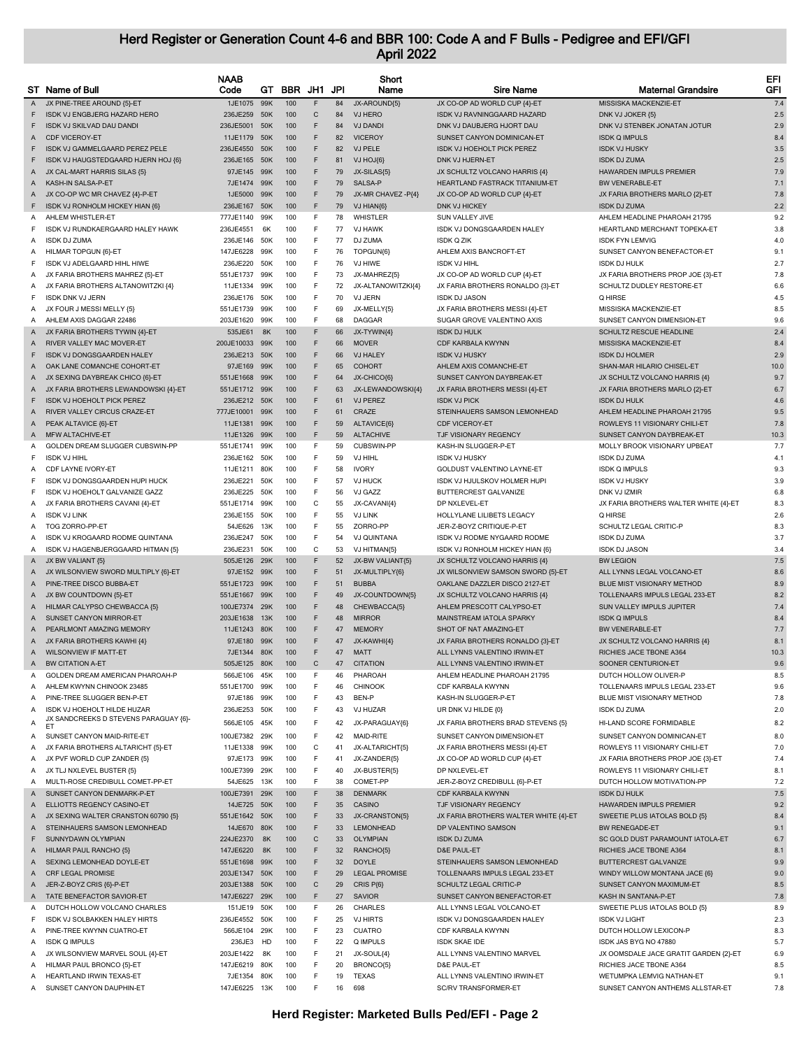|        | ST Name of Bull                             | <b>NAAB</b><br>Code  | GТ         | <b>BBR</b> | JH1     | JPI      | Short<br>Name                  | <b>Sire Name</b>                                   | <b>Maternal Grandsire</b>                   | EFI<br>GFI |
|--------|---------------------------------------------|----------------------|------------|------------|---------|----------|--------------------------------|----------------------------------------------------|---------------------------------------------|------------|
| A      | JX PINE-TREE AROUND {5}-ET                  | 1JE1075              | 99K        | 100        | F       | 84       | JX-AROUND{5}                   | JX CO-OP AD WORLD CUP {4}-ET                       | MISSISKA MACKENZIE-ET                       | 7.4        |
| F      | <b>ISDK VJ ENGBJERG HAZARD HERO</b>         | 236JE259 50K         |            | 100        | C       | 84       | VJ HERO                        | ISDK VJ RAVNINGGAARD HAZARD                        | DNK VJ JOKER {5}                            | 2.5        |
| F      | ISDK VJ SKILVAD DAU DANDI                   | 236JE5001            | 50K        | 100        | F       | 84       | <b>VJ DANDI</b>                | DNK VJ DAUBJERG HJORT DAU                          | DNK VJ STENBEK JONATAN JOTUR                | 2.9        |
| Α      | <b>CDF VICEROY-ET</b>                       | 11JE1179             | 50K        | 100        | F       | 82       | <b>VICEROY</b>                 | SUNSET CANYON DOMINICAN-ET                         | <b>ISDK Q IMPULS</b>                        | 8.4        |
| F      | ISDK VJ GAMMELGAARD PEREZ PELE              | 236JE4550            | 50K        | 100        | F       | 82       | VJ PELE                        | <b>ISDK VJ HOEHOLT PICK PEREZ</b>                  | <b>ISDK VJ HUSKY</b>                        | 3.5        |
| F      | ISDK VJ HAUGSTEDGAARD HJERN HOJ {6}         | 236JE165 50K         |            | 100        | F       | 81       | VJ HOJ{6}                      | DNK VJ HJERN-ET                                    | <b>ISDK DJ ZUMA</b>                         | 2.5        |
| Α      | JX CAL-MART HARRIS SILAS {5}                | 97JE145              | 99K        | 100        | F       | 79       | JX-SILAS{5}                    | JX SCHULTZ VOLCANO HARRIS {4}                      | HAWARDEN IMPULS PREMIER                     | 7.9        |
| Α      | KASH-IN SALSA-P-ET                          | 7JE1474              | 99K        | 100        | F       | 79       | SALSA-P                        | HEARTLAND FASTRACK TITANIUM-ET                     | <b>BW VENERABLE-ET</b>                      | 7.1        |
| Α      | JX CO-OP WC MR CHAVEZ {4}-P-ET              | 1JE5000              | 99K        | 100        | F       | 79       | JX-MR CHAVEZ -P{4}             | JX CO-OP AD WORLD CUP {4}-ET                       | JX FARIA BROTHERS MARLO {2}-ET              | 7.8        |
| F      | ISDK VJ RONHOLM HICKEY HIAN {6}             | 236JE167             | 50K        | 100        | F       | 79       | VJ HIAN(6)                     | <b>DNK VJ HICKEY</b>                               | <b>ISDK DJ ZUMA</b>                         | 2.2        |
| A      | AHLEM WHISTLER-ET                           | 777JE1140            | 99K        | 100        | F.      | 78       | WHISTLER                       | SUN VALLEY JIVE                                    | AHLEM HEADLINE PHAROAH 21795                | 9.2        |
| F      | ISDK VJ RUNDKAERGAARD HALEY HAWK            | 236JE4551            | 6K         | 100        | F       | 77       | <b>VJ HAWK</b>                 | ISDK VJ DONGSGAARDEN HALEY                         | HEARTLAND MERCHANT TOPEKA-ET                | 3.8        |
| Α      | <b>ISDK DJ ZUMA</b>                         | 236JE146             | 50K        | 100        | F       | 77       | DJ ZUMA                        | <b>ISDK Q ZIK</b>                                  | <b>ISDK FYN LEMVIG</b>                      | 4.0        |
| Α      | HILMAR TOPGUN {6}-ET                        | 147JE6228            | 99K        | 100        | F       | 76       | TOPGUN(6)                      | AHLEM AXIS BANCROFT-ET                             | SUNSET CANYON BENEFACTOR-ET                 | 9.1        |
| F      | ISDK VJ ADELGAARD HIHL HIWE                 | 236JE220             | 50K        | 100        | F       | 76       | VJ HIWE                        | <b>ISDK VJ HIHL</b>                                | <b>ISDK DJ HULK</b>                         | 2.7        |
| Α      | JX FARIA BROTHERS MAHREZ {5}-ET             | 551JE1737            | 99K        | 100        | F       | 73       | JX-MAHREZ{5}                   | JX CO-OP AD WORLD CUP {4}-ET                       | JX FARIA BROTHERS PROP JOE {3}-ET           | 7.8        |
| Α      | JX FARIA BROTHERS ALTANOWITZKI {4}          | 11JE1334             | 99K        | 100        | F       | 72       | JX-ALTANOWITZKI{4}             | JX FARIA BROTHERS RONALDO {3}-ET                   | SCHULTZ DUDLEY RESTORE-ET                   | 6.6        |
| F      | <b>ISDK DNK VJ JERN</b>                     | 236JE176             | 50K        | 100        | F       | 70       | VJ JERN                        | <b>ISDK DJ JASON</b>                               | Q HIRSE                                     | 4.5        |
| Α      | JX FOUR J MESSI MELLY {5}                   | 551JE1739            | 99K        | 100        | F       | 69       | JX-MELLY{5}                    | JX FARIA BROTHERS MESSI {4}-ET                     | MISSISKA MACKENZIE-ET                       | 8.5        |
| A      | AHLEM AXIS DAGGAR 22486                     | 203JE1620            | 99K        | 100        | F       | 68       | <b>DAGGAR</b>                  | SUGAR GROVE VALENTINO AXIS                         | SUNSET CANYON DIMENSION-ET                  | 9.6        |
| Α      | JX FARIA BROTHERS TYWIN {4}-ET              | 535JE61              | 8K         | 100        | F       | 66       | JX-TYWIN{4}                    | <b>ISDK DJ HULK</b>                                | <b>SCHULTZ RESCUE HEADLINE</b>              | 2.4        |
| Α      | RIVER VALLEY MAC MOVER-ET                   | 200JE10033           | 99K        | 100        | F       | 66       | <b>MOVER</b>                   | CDF KARBALA KWYNN                                  | MISSISKA MACKENZIE-ET                       | 8.4        |
| F      | <b>ISDK VJ DONGSGAARDEN HALEY</b>           | 236JE213 50K         |            | 100        | F       | 66       | <b>VJ HALEY</b>                | <b>ISDK VJ HUSKY</b>                               | <b>ISDK DJ HOLMER</b>                       | 2.9        |
| A      | OAK LANE COMANCHE COHORT-ET                 | 97JE169              | 99K        | 100        | F       | 65       | <b>COHORT</b>                  | AHLEM AXIS COMANCHE-ET                             | SHAN-MAR HILARIO CHISEL-ET                  | 10.0       |
| Α      | JX SEXING DAYBREAK CHICO {6}-ET             | 551JE1668            | 99K        | 100        | F       | 64       | JX-CHICO(6)                    | SUNSET CANYON DAYBREAK-ET                          | JX SCHULTZ VOLCANO HARRIS {4}               | 9.7        |
| Α      | JX FARIA BROTHERS LEWANDOWSKI {4}-ET        | 551JE1712            | 99K        | 100        | F       | 63       | JX-LEWANDOWSKI{4}              | JX FARIA BROTHERS MESSI {4}-ET                     | JX FARIA BROTHERS MARLO {2}-ET              | 6.7        |
| F      | <b>ISDK VJ HOEHOLT PICK PEREZ</b>           | 236JE212 50K         |            | 100        | F       | 61       | <b>VJ PEREZ</b>                | <b>ISDK VJ PICK</b>                                | <b>ISDK DJ HULK</b>                         | 4.6        |
| Α      | RIVER VALLEY CIRCUS CRAZE-ET                | 777JE10001           | 99K        | 100        | F       | 61       | CRAZE                          | STEINHAUERS SAMSON LEMONHEAD                       | AHLEM HEADLINE PHAROAH 21795                | 9.5        |
| Α      | PEAK ALTAVICE {6}-ET                        | 11JE1381             | 99K        | 100        | F       | 59       | ALTAVICE{6}                    | <b>CDF VICEROY-ET</b>                              | ROWLEYS 11 VISIONARY CHILI-ET               | 7.8        |
| Α      | MFW ALTACHIVE-ET                            | 11JE1326 99K         |            | 100        | F       | 59       | <b>ALTACHIVE</b><br>CUBSWIN-PP | TJF VISIONARY REGENCY                              | SUNSET CANYON DAYBREAK-ET                   | 10.3       |
| A<br>F | GOLDEN DREAM SLUGGER CUBSWIN-PP             | 551JE1741            | 99K        | 100        | F.<br>F | 59<br>59 |                                | KASH-IN SLUGGER-P-ET                               | MOLLY BROOK VISIONARY UPBEAT                | 7.7        |
| A      | <b>ISDK VJ HIHL</b><br>CDF LAYNE IVORY-ET   | 236JE162<br>11JE1211 | 50K<br>80K | 100<br>100 | F.      | 58       | VJ HIHL<br><b>IVORY</b>        | <b>ISDK VJ HUSKY</b><br>GOLDUST VALENTINO LAYNE-ET | <b>ISDK DJ ZUMA</b><br><b>ISDK Q IMPULS</b> | 4.1<br>9.3 |
| F      | ISDK VJ DONGSGAARDEN HUPI HUCK              | 236JE221             | 50K        | 100        | F       | 57       | VJ HUCK                        | ISDK VJ HJULSKOV HOLMER HUPI                       | <b>ISDK VJ HUSKY</b>                        | 3.9        |
| F      | ISDK VJ HOEHOLT GALVANIZE GAZZ              | 236JE225             | 50K        | 100        | F       | 56       | VJ GAZZ                        | BUTTERCREST GALVANIZE                              | DNK VJ IZMIR                                | 6.8        |
| Α      | JX FARIA BROTHERS CAVANI {4}-ET             | 551JE1714            | 99K        | 100        | C       | 55       | JX-CAVANI{4}                   | DP NXLEVEL-ET                                      | JX FARIA BROTHERS WALTER WHITE {4}-ET       | 8.3        |
| Α      | <b>ISDK VJ LINK</b>                         | 236JE155             | 50K        | 100        | F       | 55       | <b>VJ LINK</b>                 | HOLLYLANE LILIBETS LEGACY                          | Q HIRSE                                     | 2.6        |
| Α      | TOG ZORRO-PP-ET                             | 54JE626              | 13K        | 100        | F       | 55       | ZORRO-PP                       | JER-Z-BOYZ CRITIQUE-P-ET                           | SCHULTZ LEGAL CRITIC-P                      | 8.3        |
| Α      | ISDK VJ KROGAARD RODME QUINTANA             | 236JE247             | 50K        | 100        | F       | 54       | <b>VJ QUINTANA</b>             | ISDK VJ RODME NYGAARD RODME                        | <b>ISDK DJ ZUMA</b>                         | 3.7        |
| Α      | ISDK VJ HAGENBJERGGAARD HITMAN {5}          | 236JE231             | 50K        | 100        | C       | 53       | VJ HITMAN{5}                   | ISDK VJ RONHOLM HICKEY HIAN {6}                    | <b>ISDK DJ JASON</b>                        | 3.4        |
| Α      | JX BW VALIANT {5}                           | 505JE126             | 29K        | 100        | F       | 52       | JX-BW VALIANT{5}               | JX SCHULTZ VOLCANO HARRIS {4}                      | <b>BW LEGION</b>                            | 7.5        |
| Α      | JX WILSONVIEW SWORD MULTIPLY {6}-ET         | 97JE152 99K          |            | 100        | F       | 51       | JX-MULTIPLY{6}                 | JX WILSONVIEW SAMSON SWORD {5}-ET                  | ALL LYNNS LEGAL VOLCANO-ET                  | 8.6        |
| Α      | PINE-TREE DISCO BUBBA-ET                    | 551JE1723            | 99K        | 100        | F       | 51       | <b>BUBBA</b>                   | OAKLANE DAZZLER DISCO 2127-ET                      | BLUE MIST VISIONARY METHOD                  | 8.9        |
| Α      | JX BW COUNTDOWN {5}-ET                      | 551JE1667            | 99K        | 100        | F.      | 49       | JX-COUNTDOWN{5}                | JX SCHULTZ VOLCANO HARRIS {4}                      | TOLLENAARS IMPULS LEGAL 233-ET              | 8.2        |
| Α      | HILMAR CALYPSO CHEWBACCA {5}                | 100JE7374            | 29K        | 100        | F       | 48       | CHEWBACCA{5}                   | AHLEM PRESCOTT CALYPSO-ET                          | SUN VALLEY IMPULS JUPITER                   | 7.4        |
| Α      | <b>SUNSET CANYON MIRROR-ET</b>              | 203JE1638            | 13K        | 100        | F       | 48       | <b>MIRROR</b>                  | MAINSTREAM IATOLA SPARKY                           | <b>ISDK Q IMPULS</b>                        | 8.4        |
| Α      | PEARLMONT AMAZING MEMORY                    | 11JE1243 80K         |            | 100        | F       | 47       | <b>MEMORY</b>                  | SHOT OF NAT AMAZING-ET                             | <b>BW VENERABLE-ET</b>                      | 7.7        |
| A      | JX FARIA BROTHERS KAWHI {4}                 | 97JE180 99K          |            | 100        | F       | 47       | JX-KAWHI{4}                    | JX FARIA BROTHERS RONALDO {3}-ET                   | JX SCHULTZ VOLCANO HARRIS {4}               | 8.1        |
| Α      | WILSONVIEW IF MATT-ET                       | 7JE1344 80K          |            | 100        | F       | 47       | <b>MATT</b>                    | ALL LYNNS VALENTINO IRWIN-ET                       | RICHIES JACE TBONE A364                     | 10.3       |
| Α      | <b>BW CITATION A-ET</b>                     | 505JE125 80K         |            | 100        | C       | 47       | <b>CITATION</b>                | ALL LYNNS VALENTINO IRWIN-ET                       | SOONER CENTURION-ET                         | 9.6        |
| Α      | GOLDEN DREAM AMERICAN PHAROAH-P             | 566JE106             | 45K        | 100        | F       | 46       | PHAROAH                        | AHLEM HEADLINE PHAROAH 21795                       | DUTCH HOLLOW OLIVER-P                       | 8.5        |
| A      | AHLEM KWYNN CHINOOK 23485                   | 551JE1700            | 99K        | 100        | F       | 46       | <b>CHINOOK</b>                 | CDF KARBALA KWYNN                                  | TOLLENAARS IMPULS LEGAL 233-ET              | 9.6        |
| A      | PINE-TREE SLUGGER BEN-P-ET                  | 97JE186              | 99K        | 100        | F       | 43       | BEN-P                          | KASH-IN SLUGGER-P-ET                               | BLUE MIST VISIONARY METHOD                  | 7.8        |
| A      | ISDK VJ HOEHOLT HILDE HUZAR                 | 236JE253             | 50K        | 100        | F       | 43       | VJ HUZAR                       | UR DNK VJ HILDE {0}                                | <b>ISDK DJ ZUMA</b>                         | 2.0        |
| Α      | JX SANDCREEKS D STEVENS PARAGUAY {6}-<br>ET | 566JE105             | 45K        | 100        | F       | 42       | JX-PARAGUAY{6}                 | JX FARIA BROTHERS BRAD STEVENS {5}                 | HI-LAND SCORE FORMIDABLE                    | 8.2        |
| A      | SUNSET CANYON MAID-RITE-ET                  | 100JE7382 29K        |            | 100        | F       | 42       | MAID-RITE                      | SUNSET CANYON DIMENSION-ET                         | SUNSET CANYON DOMINICAN-ET                  | 8.0        |
| Α      | JX FARIA BROTHERS ALTARICHT {5}-ET          | 11JE1338             | 99K        | 100        | C       | 41       | JX-ALTARICHT(5)                | JX FARIA BROTHERS MESSI {4}-ET                     | ROWLEYS 11 VISIONARY CHILI-ET               | 7.0        |
| Α      | JX PVF WORLD CUP ZANDER {5}                 | 97JE173              | 99K        | 100        | F       | 41       | JX-ZANDER{5}                   | JX CO-OP AD WORLD CUP {4}-ET                       | JX FARIA BROTHERS PROP JOE {3}-ET           | 7.4        |
| Α      | JX TLJ NXLEVEL BUSTER {5}                   | 100JE7399            | 29K        | 100        | F       | 40       | JX-BUSTER{5}                   | DP NXLEVEL-ET                                      | ROWLEYS 11 VISIONARY CHILI-ET               | 8.1        |
| Α      | MULTI-ROSE CREDIBULL COMET-PP-ET            | 54JE625              | 13K        | 100        | F       | 38       | COMET-PP                       | JER-Z-BOYZ CREDIBULL {6}-P-ET                      | DUTCH HOLLOW MOTIVATION-PP                  | 7.2        |
| A      | SUNSET CANYON DENMARK-P-ET                  | 100JE7391            | 29K        | 100        | F       | 38       | <b>DENMARK</b>                 | CDF KARBALA KWYNN                                  | <b>ISDK DJ HULK</b>                         | $7.5\,$    |
| Α      | ELLIOTTS REGENCY CASINO-ET                  | 14JE725 50K          |            | 100        | F       | 35       | CASINO                         | TJF VISIONARY REGENCY                              | HAWARDEN IMPULS PREMIER                     | 9.2        |
| A      | JX SEXING WALTER CRANSTON 60790 {5}         | 551JE1642 50K        |            | 100        | F       | 33       | JX-CRANSTON{5}                 | JX FARIA BROTHERS WALTER WHITE {4}-ET              | SWEETIE PLUS IATOLAS BOLD {5}               | 8.4        |
| Α      | STEINHAUERS SAMSON LEMONHEAD                | 14JE670              | 80K        | 100        | F       | 33       | LEMONHEAD                      | DP VALENTINO SAMSON                                | <b>BW RENEGADE-ET</b>                       | 9.1        |
| F      | SUNNYDAWN OLYMPIAN                          | 224JE2370            | 8K         | 100        | C       | 33       | <b>OLYMPIAN</b>                | <b>ISDK DJ ZUMA</b>                                | SC GOLD DUST PARAMOUNT IATOLA-ET            | 6.7        |
| A      | HILMAR PAUL RANCHO {5}                      | 147JE6220            | 8K         | 100        | F       | 32       | RANCHO(5)                      | D&E PAUL-ET                                        | RICHIES JACE TBONE A364                     | 8.1        |
| Α      | SEXING LEMONHEAD DOYLE-ET                   | 551JE1698            | 99K        | 100        | F       | 32       | <b>DOYLE</b>                   | STEINHAUERS SAMSON LEMONHEAD                       | BUTTERCREST GALVANIZE                       | 9.9        |
| Α      | CRF LEGAL PROMISE                           | 203JE1347 50K        |            | 100        | F       | 29       | <b>LEGAL PROMISE</b>           | TOLLENAARS IMPULS LEGAL 233-ET                     | WINDY WILLOW MONTANA JACE {6}               | 9.0        |
| Α      | JER-Z-BOYZ CRIS {6}-P-ET                    | 203JE1388            | 50K        | 100        | C       | 29       | CRIS P{6}                      | SCHULTZ LEGAL CRITIC-P                             | SUNSET CANYON MAXIMUM-ET                    | 8.5        |
| Α      | TATE BENEFACTOR SAVIOR-ET                   | 147JE6227 29K        |            | 100        | F       | 27       | <b>SAVIOR</b>                  | SUNSET CANYON BENEFACTOR-ET                        | KASH IN SANTANA-P-ET                        | 7.8        |
| Α      | DUTCH HOLLOW VOLCANO CHARLES                | 151JE19              | 50K        | 100        | F.      | 26       | <b>CHARLES</b>                 | ALL LYNNS LEGAL VOLCANO-ET                         | SWEETIE PLUS IATOLAS BOLD {5}               | 8.9        |
| F      | ISDK VJ SOLBAKKEN HALEY HIRTS               | 236JE4552 50K        |            | 100        | F.      | 25       | <b>VJ HIRTS</b>                | ISDK VJ DONGSGAARDEN HALEY                         | <b>ISDK VJ LIGHT</b>                        | 2.3        |
| Α      | PINE-TREE KWYNN CUATRO-ET                   | 566JE104             | 29K        | 100        | F.      | 23       | <b>CUATRO</b>                  | CDF KARBALA KWYNN                                  | DUTCH HOLLOW LEXICON-P                      | 8.3        |
| Α      | <b>ISDK Q IMPULS</b>                        | 236JE3               | HD         | 100        | F       | 22       | Q IMPULS                       | <b>ISDK SKAE IDE</b>                               | ISDK JAS BYG NO 47880                       | 5.7        |
| Α      | JX WILSONVIEW MARVEL SOUL {4}-ET            | 203JE1422            | 8K         | 100        | F       | 21       | JX-SOUL{4}                     | ALL LYNNS VALENTINO MARVEL                         | JX OOMSDALE JACE GRATIT GARDEN {2}-ET       | 6.9        |
| A      | HILMAR PAUL BRONCO {5}-ET                   | 147JE6219            | 80K        | 100        | F       | 20       | BRONCO{5}                      | D&E PAUL-ET                                        | RICHIES JACE TBONE A364                     | 8.5        |
| A      | HEARTLAND IRWIN TEXAS-ET                    | 7JE1354              | 80K        | 100        | F<br>F  | 19       | <b>TEXAS</b>                   | ALL LYNNS VALENTINO IRWIN-ET                       | WETUMPKA LEMVIG NATHAN-ET                   | 9.1        |
| Α      | SUNSET CANYON DAUPHIN-ET                    | 147JE6225 13K        |            | 100        |         | 16       | 698                            | SC/RV TRANSFORMER-ET                               | SUNSET CANYON ANTHEMS ALLSTAR-ET            | 7.8        |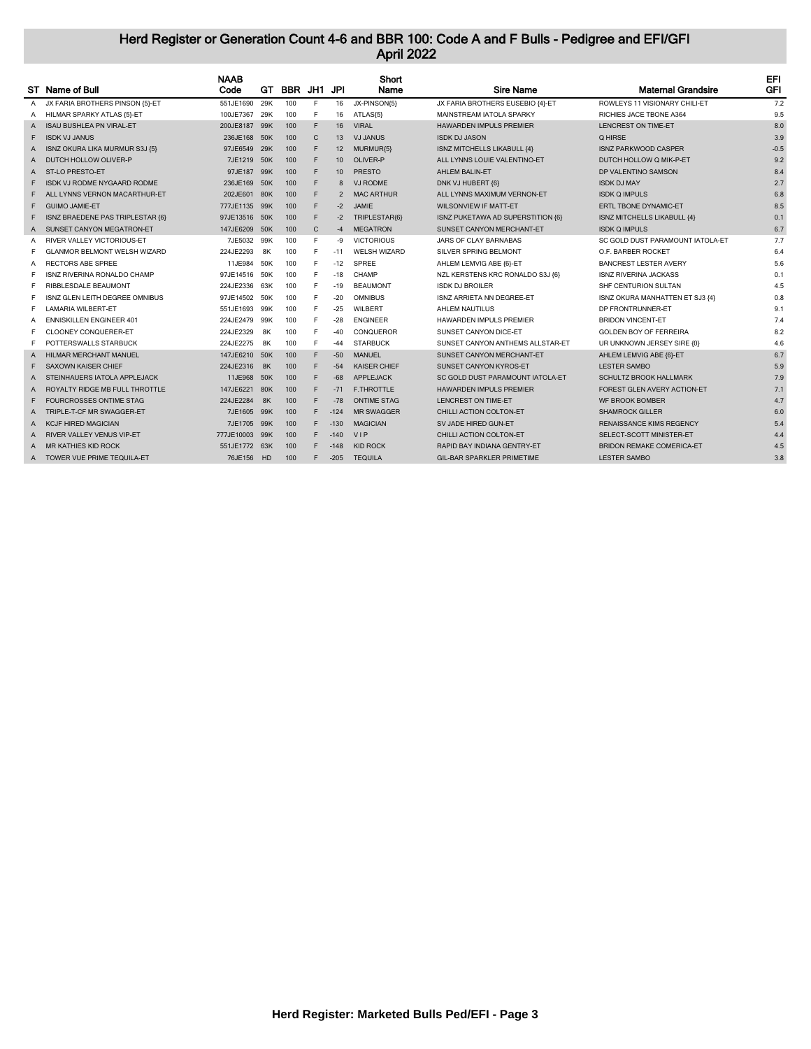|   |                                     | <b>NAAB</b>   |     |         |              |                | Short               |                                    |                                    | EFI        |
|---|-------------------------------------|---------------|-----|---------|--------------|----------------|---------------------|------------------------------------|------------------------------------|------------|
|   | ST Name of Bull                     | Code          | GT. | BBR JH1 |              | JPI            | Name                | <b>Sire Name</b>                   | <b>Maternal Grandsire</b>          | <b>GFI</b> |
| A | JX FARIA BROTHERS PINSON {5}-ET     | 551JE1690     | 29K | 100     | E            | 16             | JX-PINSON(5)        | JX FARIA BROTHERS EUSEBIO {4}-ET   | ROWLEYS 11 VISIONARY CHILI-ET      | 7.2        |
| A | HILMAR SPARKY ATLAS {5}-ET          | 100JE7367     | 29K | 100     | F            | 16             | ATLAS{5}            | MAINSTREAM IATOLA SPARKY           | RICHIES JACE TBONE A364            | 9.5        |
| A | <b>ISAU BUSHLEA PN VIRAL-ET</b>     | 200JE8187     | 99K | 100     | F            | 16             | <b>VIRAL</b>        | <b>HAWARDEN IMPULS PREMIER</b>     | LENCREST ON TIME-ET                | 8.0        |
| F | <b>ISDK VJ JANUS</b>                | 236JE168 50K  |     | 100     | $\mathsf{C}$ | 13             | <b>VJ JANUS</b>     | <b>ISDK DJ JASON</b>               | Q HIRSE                            | 3.9        |
| A | ISNZ OKURA LIKA MURMUR S3J {5}      | 97JE6549 29K  |     | 100     | F            | 12             | MURMUR{5}           | <b>ISNZ MITCHELLS LIKABULL {4}</b> | <b>ISNZ PARKWOOD CASPER</b>        | $-0.5$     |
| A | DUTCH HOLLOW OLIVER-P               | 7JE1219 50K   |     | 100     | F            | 10             | OLIVER-P            | ALL LYNNS LOUIE VALENTINO-ET       | DUTCH HOLLOW Q MIK-P-ET            | 9.2        |
| A | ST-LO PRESTO-ET                     | 97JE187       | 99K | 100     | F.           | 10             | <b>PRESTO</b>       | <b>AHLEM BALIN-ET</b>              | DP VALENTINO SAMSON                | 8.4        |
|   | ISDK VJ RODME NYGAARD RODME         | 236JE169      | 50K | 100     | F            | 8              | <b>VJ RODME</b>     | DNK VJ HUBERT {6}                  | <b>ISDK DJ MAY</b>                 | 2.7        |
|   | ALL LYNNS VERNON MACARTHUR-FT       | 202JE601 80K  |     | 100     | F            | $\overline{2}$ | <b>MAC ARTHUR</b>   | ALL LYNNS MAXIMUM VERNON-FT        | <b>ISDK O IMPULS</b>               | 6.8        |
|   | <b>GUIMO JAMIE-ET</b>               | 777JE1135 99K |     | 100     | F            | $-2$           | <b>JAMIF</b>        | <b>WILSONVIEW IF MATT-ET</b>       | ERTL TBONE DYNAMIC-ET              | 8.5        |
| F | ISNZ BRAEDENE PAS TRIPLESTAR {6}    | 97JE13516 50K |     | 100     | F            | $-2$           | TRIPLESTAR(6)       | ISNZ PUKETAWA AD SUPERSTITION {6}  | <b>ISNZ MITCHELLS LIKABULL {4}</b> | 0.1        |
| A | SUNSET CANYON MEGATRON-ET           | 147JE6209     | 50K | 100     | $\mathsf{C}$ | $-4$           | <b>MEGATRON</b>     | SUNSET CANYON MERCHANT-ET          | <b>ISDK Q IMPULS</b>               | 6.7        |
| A | <b>RIVER VALLEY VICTORIOUS-ET</b>   | 7JE5032       | 99K | 100     | E            | -9             | <b>VICTORIOUS</b>   | JARS OF CLAY BARNABAS              | SC GOLD DUST PARAMOUNT IATOLA-ET   | 7.7        |
|   | <b>GLANMOR BELMONT WELSH WIZARD</b> | 224JE2293     | 8K  | 100     | E            | $-11$          | <b>WELSH WIZARD</b> | SILVER SPRING BELMONT              | O.F. BARBER ROCKET                 | 6.4        |
| A | <b>RECTORS ABE SPREE</b>            | 11JE984       | 50K | 100     | F            | $-12$          | <b>SPREE</b>        | AHLEM LEMVIG ABE {6}-ET            | <b>BANCREST LESTER AVERY</b>       | 5.6        |
| F | <b>ISNZ RIVERINA RONALDO CHAMP</b>  | 97JE14516 50K |     | 100     | F.           | $-18$          | CHAMP               | NZL KERSTENS KRC RONALDO S3J {6}   | <b>ISNZ RIVERINA JACKASS</b>       | 0.1        |
|   | RIBBLESDALE BEAUMONT                | 224JE2336     | 63K | 100     | F            | $-19$          | <b>BEAUMONT</b>     | <b>ISDK DJ BROILER</b>             | SHF CENTURION SULTAN               | 4.5        |
|   | ISNZ GLEN LEITH DEGREE OMNIBUS      | 97JE14502     | 50K | 100     | E            | $-20$          | <b>OMNIBUS</b>      | ISNZ ARRIETA NN DEGREE-ET          | ISNZ OKURA MANHATTEN ET SJ3 {4}    | 0.8        |
|   | <b>LAMARIA WILBERT-ET</b>           | 551JE1693     | 99K | 100     | F            | $-25$          | <b>WILBERT</b>      | AHLEM NAUTILUS                     | DP FRONTRUNNER-ET                  | 9.1        |
| A | <b>ENNISKILLEN ENGINEER 401</b>     | 224JE2479 99K |     | 100     | F            | $-28$          | <b>FNGINFFR</b>     | <b>HAWARDEN IMPULS PREMIER</b>     | <b>BRIDON VINCENT-ET</b>           | 7.4        |
| F | <b>CLOONEY CONQUERER-ET</b>         | 224JE2329     | 8K  | 100     | F            | $-40$          | CONQUEROR           | SUNSET CANYON DICE-ET              | <b>GOLDEN BOY OF FERREIRA</b>      | 8.2        |
| F | POTTERSWALLS STARBUCK               | 224JE2275     | 8K  | 100     | E            | $-44$          | <b>STARBUCK</b>     | SUNSET CANYON ANTHEMS ALLSTAR-ET   | UR UNKNOWN JERSEY SIRE {0}         | 4.6        |
| A | HILMAR MERCHANT MANUEL              | 147JE6210 50K |     | 100     | F.           | $-50$          | <b>MANUEL</b>       | SUNSET CANYON MERCHANT-ET          | AHLEM LEMVIG ABE {6}-ET            | 6.7        |
|   | <b>SAXOWN KAISER CHIEF</b>          | 224JE2316     | 8K  | 100     | F            | $-54$          | <b>KAISER CHIFF</b> | <b>SUNSET CANYON KYROS-ET</b>      | <b>LESTER SAMBO</b>                | 5.9        |
| A | STEINHAUERS IATOLA APPLEJACK        | 11JE968       | 50K | 100     | F            | $-68$          | <b>APPLEJACK</b>    | SC GOLD DUST PARAMOUNT IATOLA-ET   | <b>SCHULTZ BROOK HALLMARK</b>      | 7.9        |
| A | ROYALTY RIDGE MB FULL THROTTLE      | 147JE6221     | 80K | 100     | F.           | $-71$          | <b>F.THROTTLE</b>   | <b>HAWARDEN IMPULS PREMIER</b>     | FOREST GLEN AVERY ACTION-ET        | 7.1        |
|   | <b>FOURCROSSES ONTIME STAG</b>      | 224JE2284     | 8K  | 100     | F            | $-78$          | <b>ONTIME STAG</b>  | <b>LENCREST ON TIME-ET</b>         | <b>WF BROOK BOMBER</b>             | 4.7        |
| А | TRIPLE-T-CF MR SWAGGER-FT           | 7JE1605 99K   |     | 100     | F.           | $-124$         | <b>MR SWAGGER</b>   | CHILLI ACTION COLTON-ET            | <b>SHAMROCK GILLER</b>             | 6.0        |
| A | <b>KCJF HIRED MAGICIAN</b>          | 7JE1705 99K   |     | 100     | F.           | $-130$         | <b>MAGICIAN</b>     | SV JADE HIRED GUN-ET               | <b>RENAISSANCE KIMS REGENCY</b>    | 5.4        |
| A | <b>RIVER VALLEY VENUS VIP-ET</b>    | 777JE10003    | 99K | 100     | F.           | $-140$         | <b>VIP</b>          | CHILLI ACTION COLTON-ET            | SELECT-SCOTT MINISTER-ET           | 4.4        |
| A | <b>MR KATHIES KID ROCK</b>          | 551JE1772 63K |     | 100     | F.           | $-148$         | <b>KID ROCK</b>     | RAPID BAY INDIANA GENTRY-ET        | <b>BRIDON REMAKE COMERICA-ET</b>   | 4.5        |
| A | TOWER VUE PRIME TEQUILA-ET          | 76JE156 HD    |     | 100     | F            | $-205$         | <b>TEQUILA</b>      | <b>GIL-BAR SPARKLER PRIMETIME</b>  | <b>LESTER SAMBO</b>                | 3.8        |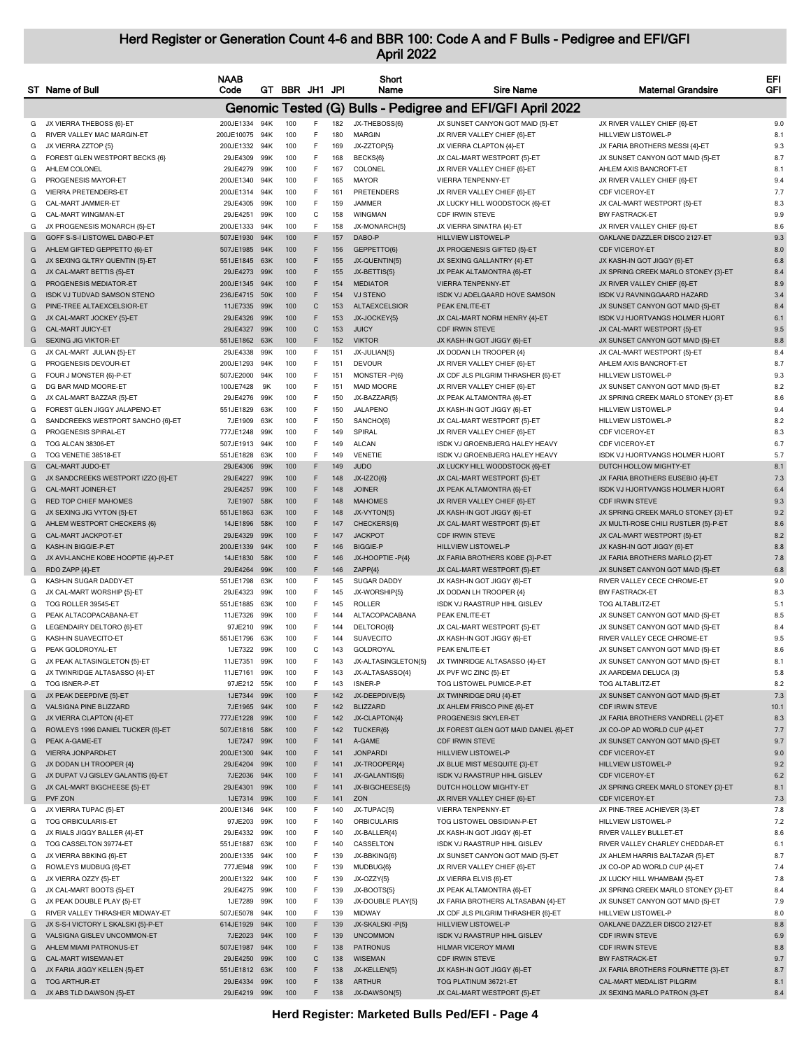|        | ST Name of Bull                                     | <b>NAAB</b><br>Code   |            | GT BBR JH1 JPI |              |            | Short<br>Name                   | <b>Sire Name</b>                                           | <b>Maternal Grandsire</b>                                           | EFI<br>GFI |
|--------|-----------------------------------------------------|-----------------------|------------|----------------|--------------|------------|---------------------------------|------------------------------------------------------------|---------------------------------------------------------------------|------------|
|        |                                                     |                       |            |                |              |            |                                 | Genomic Tested (G) Bulls - Pedigree and EFI/GFI April 2022 |                                                                     |            |
| G      | JX VIERRA THEBOSS {6}-ET                            | 200JE1334 94K         |            | 100            | F            | 182        | JX-THEBOSS{6}                   | JX SUNSET CANYON GOT MAID {5}-ET                           | JX RIVER VALLEY CHIEF {6}-ET                                        | 9.0        |
| G      | RIVER VALLEY MAC MARGIN-ET                          | 200JE10075            | 94K        | 100            | F            | 180        | <b>MARGIN</b>                   | JX RIVER VALLEY CHIEF {6}-ET                               | HILLVIEW LISTOWEL-P                                                 | 8.1        |
| G      | JX VIERRA ZZTOP {5}                                 | 200JE1332             | 94K        | 100            | F            | 169        | JX-ZZTOP{5}                     | JX VIERRA CLAPTON {4}-ET                                   | JX FARIA BROTHERS MESSI {4}-ET                                      | 9.3        |
| G      | FOREST GLEN WESTPORT BECKS {6}                      | 29JE4309              | 99K        | 100            | F            | 168        | BECKS{6]                        | JX CAL-MART WESTPORT {5}-ET                                | JX SUNSET CANYON GOT MAID {5}-ET                                    | 8.7        |
| G      | AHLEM COLONEL                                       | 29JE4279              | 99K        | 100            | F            | 167        | COLONEL                         | JX RIVER VALLEY CHIEF {6}-ET                               | AHLEM AXIS BANCROFT-ET                                              | 8.1        |
| G      | PROGENESIS MAYOR-ET                                 | 200JE1340             | 94K        | 100            | F            | 165        | <b>MAYOR</b>                    | VIERRA TENPENNY-ET                                         | JX RIVER VALLEY CHIEF {6}-ET                                        | 9.4        |
| G      | VIERRA PRETENDERS-ET                                | 200JE1314             | 94K        | 100            | F            | 161        | <b>PRETENDERS</b>               | JX RIVER VALLEY CHIEF {6}-ET                               | CDF VICEROY-ET                                                      | 7.7        |
| G      | CAL-MART JAMMER-ET                                  | 29JE4305              | 99K        | 100            | F            | 159        | JAMMER                          | JX LUCKY HILL WOODSTOCK {6}-ET                             | JX CAL-MART WESTPORT {5}-ET                                         | 8.3        |
| G      | CAL-MART WINGMAN-ET                                 | 29JE4251              | 99K        | 100            | C            | 158        | WINGMAN                         | CDF IRWIN STEVE                                            | <b>BW FASTRACK-ET</b>                                               | 9.9        |
| G      | JX PROGENESIS MONARCH {5}-ET                        | 200JE1333             | 94K        | 100            | F            | 158        | JX-MONARCH{5}                   | JX VIERRA SINATRA {4}-ET                                   | JX RIVER VALLEY CHIEF {6}-ET                                        | 8.6        |
| G      | GOFF S-S-I LISTOWEL DABO-P-ET                       | 507JE1930             | 94K        | 100            | F            | 157        | DABO-P                          | <b>HILLVIEW LISTOWEL-P</b>                                 | OAKLANE DAZZLER DISCO 2127-ET                                       | 9.3        |
| G      | AHLEM GIFTED GEPPETTO {6}-ET                        | 507JE1985             | 94K        | 100            | F            | 156        | GEPPETTO(6)                     | JX PROGENESIS GIFTED {5}-ET                                | <b>CDF VICEROY-ET</b>                                               | 8.0        |
| G      | JX SEXING GLTRY QUENTIN {5}-ET                      | 551JE1845             | 63K<br>99K | 100<br>100     | F<br>F       | 155<br>155 | JX-QUENTIN{5}                   | JX SEXING GALLANTRY {4}-ET                                 | JX KASH-IN GOT JIGGY {6}-ET                                         | 6.8<br>8.4 |
| G<br>G | JX CAL-MART BETTIS {5}-ET<br>PROGENESIS MEDIATOR-ET | 29JE4273<br>200JE1345 | 94K        | 100            | F            | 154        | JX-BETTIS{5}<br><b>MEDIATOR</b> | JX PEAK ALTAMONTRA {6}-ET<br><b>VIERRA TENPENNY-ET</b>     | JX SPRING CREEK MARLO STONEY {3}-ET<br>JX RIVER VALLEY CHIEF {6}-ET | 8.9        |
| G      | <b>ISDK VJ TUDVAD SAMSON STENO</b>                  | 236JE4715             | 50K        | 100            | F            | 154        | <b>VJ STENO</b>                 | ISDK VJ ADELGAARD HOVE SAMSON                              | ISDK VJ RAVNINGGAARD HAZARD                                         | 3.4        |
| G      | PINE-TREE ALTAEXCELSIOR-ET                          | 11JE7335              | 99K        | 100            | $\mathbf C$  | 153        | <b>ALTAEXCELSIOR</b>            | PEAK ENLITE-ET                                             | JX SUNSET CANYON GOT MAID {5}-ET                                    | 8.4        |
| G      | JX CAL-MART JOCKEY {5}-ET                           | 29JE4326              | 99K        | 100            | F            | 153        | JX-JOCKEY{5}                    | JX CAL-MART NORM HENRY {4}-ET                              | ISDK VJ HJORTVANGS HOLMER HJORT                                     | 6.1        |
| G      | CAL-MART JUICY-ET                                   | 29JE4327              | 99K        | 100            | $\mathsf{C}$ | 153        | <b>JUICY</b>                    | <b>CDF IRWIN STEVE</b>                                     | JX CAL-MART WESTPORT {5}-ET                                         | 9.5        |
| G      | <b>SEXING JIG VIKTOR-ET</b>                         | 551JE1862             | 63K        | 100            | F            | 152        | <b>VIKTOR</b>                   | JX KASH-IN GOT JIGGY {6}-ET                                | JX SUNSET CANYON GOT MAID {5}-ET                                    | 8.8        |
| G      | JX CAL-MART JULIAN {5}-ET                           | 29JE4338              | 99K        | 100            | F            | 151        | JX-JULIAN{5}                    | JX DODAN LH TROOPER {4}                                    | JX CAL-MART WESTPORT {5}-ET                                         | 8.4        |
| G      | PROGENESIS DEVOUR-ET                                | 200JE1293             | 94K        | 100            | F            | 151        | <b>DEVOUR</b>                   | JX RIVER VALLEY CHIEF {6}-ET                               | AHLEM AXIS BANCROFT-ET                                              | 8.7        |
| G      | FOUR J MONSTER {6}-P-ET                             | 507JE2000             | 94K        | 100            | F            | 151        | MONSTER-P{6}                    | JX CDF JLS PILGRIM THRASHER {6}-ET                         | HILLVIEW LISTOWEL-P                                                 | 9.3        |
| G      | DG BAR MAID MOORE-ET                                | 100JE7428             | 9K         | 100            | F            | 151        | <b>MAID MOORE</b>               | JX RIVER VALLEY CHIEF {6}-ET                               | JX SUNSET CANYON GOT MAID {5}-ET                                    | 8.2        |
| G      | JX CAL-MART BAZZAR {5}-ET                           | 29JE4276              | 99K        | 100            | F            | 150        | JX-BAZZAR{5}                    | JX PEAK ALTAMONTRA {6}-ET                                  | JX SPRING CREEK MARLO STONEY {3}-ET                                 | 8.6        |
| G      | FOREST GLEN JIGGY JALAPENO-ET                       | 551JE1829             | 63K        | 100            | F            | 150        | JALAPENO                        | JX KASH-IN GOT JIGGY {6}-ET                                | HILLVIEW LISTOWEL-P                                                 | 9.4        |
| G      | SANDCREEKS WESTPORT SANCHO {6}-ET                   | 7JE1909               | 63K        | 100            | F            | 150        | SANCHO(6)                       | JX CAL-MART WESTPORT {5}-ET                                | HILLVIEW LISTOWEL-P                                                 | 8.2        |
| G      | PROGENESIS SPIRAL-ET                                | 777JE1248             | 99K        | 100            | F            | 149        | SPIRAL                          | JX RIVER VALLEY CHIEF {6}-ET                               | CDF VICEROY-ET                                                      | 8.3        |
| G      | TOG ALCAN 38306-ET                                  | 507JE1913             | 94K        | 100            | F            | 149        | <b>ALCAN</b>                    | ISDK VJ GROENBJERG HALEY HEAVY                             | <b>CDF VICEROY-ET</b>                                               | 6.7        |
| G      | TOG VENETIE 38518-ET                                | 551JE1828             | 63K        | 100            | F            | 149        | <b>VENETIE</b>                  | ISDK VJ GROENBJERG HALEY HEAVY                             | ISDK VJ HJORTVANGS HOLMER HJORT                                     | 5.7        |
| G      | CAL-MART JUDO-ET                                    | 29JE4306              | 99K        | 100            | F            | 149        | <b>JUDO</b>                     | JX LUCKY HILL WOODSTOCK {6}-ET                             | DUTCH HOLLOW MIGHTY-ET                                              | 8.1        |
| G      | JX SANDCREEKS WESTPORT IZZO {6}-ET                  | 29JE4227              | 99K        | 100            | F            | 148        | JX-IZZO{6}                      | JX CAL-MART WESTPORT {5}-ET                                | JX FARIA BROTHERS EUSEBIO {4}-ET                                    | 7.3        |
| G      | CAL-MART JOINER-ET                                  | 29JE4257              | 99K        | 100            | F            | 148        | <b>JOINER</b>                   | JX PEAK ALTAMONTRA {6}-ET                                  | ISDK VJ HJORTVANGS HOLMER HJORT                                     | 6.4        |
| G      | RED TOP CHIEF MAHOMES                               | 7JE1907               | 58K        | 100            | F            | 148        | <b>MAHOMES</b>                  | JX RIVER VALLEY CHIEF {6}-ET                               | <b>CDF IRWIN STEVE</b>                                              | 9.3        |
| G      | JX SEXING JIG VYTON {5}-ET                          | 551JE1863             | 63K        | 100            | F            | 148        | JX-VYTON{5}                     | JX KASH-IN GOT JIGGY {6}-ET                                | JX SPRING CREEK MARLO STONEY {3}-ET                                 | 9.2        |
| G      | AHLEM WESTPORT CHECKERS {6}                         | 14JE1896              | 58K        | 100            | F            | 147        | CHECKERS{6}                     | JX CAL-MART WESTPORT {5}-ET                                | JX MULTI-ROSE CHILI RUSTLER {5}-P-ET                                | 8.6        |
| G      | CAL-MART JACKPOT-ET                                 | 29JE4329              | 99K        | 100            | F            | 147        | <b>JACKPOT</b>                  | <b>CDF IRWIN STEVE</b>                                     | JX CAL-MART WESTPORT {5}-ET                                         | 8.2        |
| G      | KASH-IN BIGGIE-P-ET                                 | 200JE1339             | 94K        | 100            | F            | 146        | <b>BIGGIE-P</b>                 | <b>HILLVIEW LISTOWEL-P</b>                                 | JX KASH-IN GOT JIGGY {6}-ET                                         | 8.8        |
| G      | JX AVI-LANCHE KOBE HOOPTIE {4}-P-ET                 | 14JE1830              | 58K        | 100            | F            | 146        | JX-HOOPTIE-P{4}                 | JX FARIA BROTHERS KOBE {3}-P-ET                            | JX FARIA BROTHERS MARLO {2}-ET                                      | 7.8        |
| G      | RDO ZAPP {4}-ET                                     | 29JE4264              | 99K        | 100            | F            | 146        | ZAPP{4}                         | JX CAL-MART WESTPORT {5}-ET                                | JX SUNSET CANYON GOT MAID {5}-ET                                    | 6.8        |
| G      | KASH-IN SUGAR DADDY-ET                              | 551JE1798             | 63K        | 100            | F.           | 145        | SUGAR DADDY                     | JX KASH-IN GOT JIGGY {6}-ET                                | RIVER VALLEY CECE CHROME-ET                                         | 9.0        |
| G      | JX CAL-MART WORSHIP {5}-ET                          | 29JE4323              | 99K        | 100<br>100     | F<br>F       | 145<br>145 | JX-WORSHIP{5}<br><b>ROLLER</b>  | JX DODAN LH TROOPER {4}                                    | <b>BW FASTRACK-ET</b>                                               | 8.3        |
| G      | TOG ROLLER 39545-ET<br>PEAK ALTACOPACABANA-ET       | 551JE1885             | 63K<br>99K | 100            | F            | 144        | ALTACOPACABANA                  | ISDK VJ RAASTRUP HIHL GISLEV<br>PEAK ENLITE-ET             | TOG ALTABLITZ-ET<br>JX SUNSET CANYON GOT MAID {5}-ET                | 5.1<br>8.5 |
| G<br>G | LEGENDAIRY DELTORO {6}-ET                           | 11JE7326<br>97JE210   | 99K        | 100            | F            | 144        | DELTORO(6)                      | JX CAL-MART WESTPORT {5}-ET                                | JX SUNSET CANYON GOT MAID {5}-ET                                    | 8.4        |
| G      | KASH-IN SUAVECITO-ET                                | 551JE1796             | 63K        | 100            | F            | 144        | <b>SUAVECITO</b>                | JX KASH-IN GOT JIGGY {6}-ET                                | RIVER VALLEY CECE CHROME-ET                                         | 9.5        |
| G      | PEAK GOLDROYAL-ET                                   | 1JE7322               | 99K        | 100            | C            | 143        | <b>GOLDROYAL</b>                | PEAK ENLITE-ET                                             | JX SUNSET CANYON GOT MAID {5}-ET                                    | 8.6        |
| G      | JX PEAK ALTASINGLETON {5}-ET                        | 11JE7351              | 99K        | 100            |              | 143        | JX-ALTASINGLETON(5)             | JX TWINRIDGE ALTASASSO {4}-ET                              | JX SUNSET CANYON GOT MAID {5}-ET                                    | 8.1        |
| G      | JX TWINRIDGE ALTASASSO {4}-ET                       | 11JE7161              | 99K        | 100            | F            | 143        | JX-ALTASASSO{4}                 | JX PVF WC ZINC {5}-ET                                      | JX AARDEMA DELUCA {3}                                               | 5.8        |
| G      | TOG ISNER-P-ET                                      | 97JE212               | 55K        | 100            | F            | 143        | ISNER-P                         | TOG LISTOWEL PUMICE-P-ET                                   | <b>TOG ALTABLITZ-ET</b>                                             | 8.2        |
| G      | JX PEAK DEEPDIVE {5}-ET                             | 1JE7344               | 99K        | 100            | F            | 142        | JX-DEEPDIVE{5}                  | JX TWINRIDGE DRU {4}-ET                                    | JX SUNSET CANYON GOT MAID {5}-ET                                    | 7.3        |
| G      | VALSIGNA PINE BLIZZARD                              | 7JE1965               | 94K        | 100            | F            | 142        | <b>BLIZZARD</b>                 | JX AHLEM FRISCO PINE {6}-ET                                | <b>CDF IRWIN STEVE</b>                                              | 10.1       |
| G      | JX VIERRA CLAPTON {4}-ET                            | 777JE1228             | 99K        | 100            | F            | 142        | JX-CLAPTON{4}                   | PROGENESIS SKYLER-ET                                       | JX FARIA BROTHERS VANDRELL {2}-ET                                   | 8.3        |
| G      | ROWLEYS 1996 DANIEL TUCKER {6}-ET                   | 507JE1816             | 58K        | 100            | F            | 142        | TUCKER{6}                       | JX FOREST GLEN GOT MAID DANIEL {6}-ET                      | JX CO-OP AD WORLD CUP {4}-ET                                        | 7.7        |
| G      | PEAK A-GAME-ET                                      | 1JE7247               | 99K        | 100            | F            | 141        | A-GAME                          | <b>CDF IRWIN STEVE</b>                                     | JX SUNSET CANYON GOT MAID {5}-ET                                    | 9.7        |
| G      | <b>VIERRA JONPARDI-ET</b>                           | 200JE1300             | 94K        | 100            | F            | 141        | <b>JONPARDI</b>                 | HILLVIEW LISTOWEL-P                                        | CDF VICEROY-ET                                                      | 9.0        |
| G      | JX DODAN LH TROOPER {4}                             | 29JE4204              | 99K        | 100            | F            | 141        | JX-TROOPER{4}                   | JX BLUE MIST MESQUITE {3}-ET                               | <b>HILLVIEW LISTOWEL-P</b>                                          | 9.2        |
| G      | JX DUPAT VJ GISLEV GALANTIS {6}-ET                  | 7JE2036               | 94K        | 100            | F            | 141        | JX-GALANTIS{6}                  | ISDK VJ RAASTRUP HIHL GISLEV                               | <b>CDF VICEROY-ET</b>                                               | 6.2        |
| G      | JX CAL-MART BIGCHEESE {5}-ET                        | 29JE4301              | 99K        | 100            | F            | 141        | JX-BIGCHEESE{5}                 | DUTCH HOLLOW MIGHTY-ET                                     | JX SPRING CREEK MARLO STONEY {3}-ET                                 | 8.1        |
| G      | PVF ZON                                             | 1JE7314               | 99K        | 100            | F            | 141        | ZON                             | JX RIVER VALLEY CHIEF {6}-ET                               | CDF VICEROY-ET                                                      | 7.3        |
| G      | JX VIERRA TUPAC {5}-ET                              | 200JE1346             | 94K        | 100            | F            | 140        | JX-TUPAC{5}                     | <b>VIERRA TENPENNY-ET</b>                                  | JX PINE-TREE ACHIEVER {3}-ET                                        | 7.8        |
| G      | TOG ORBICULARIS-ET                                  | 97JE203               | 99K        | 100            | F            | 140        | <b>ORBICULARIS</b>              | TOG LISTOWEL OBSIDIAN-P-ET                                 | HILLVIEW LISTOWEL-P                                                 | 7.2        |
| G      | JX RIALS JIGGY BALLER {4}-ET                        | 29JE4332 99K          |            | 100            | F            | 140        | JX-BALLER{4}                    | JX KASH-IN GOT JIGGY {6}-ET                                | RIVER VALLEY BULLET-ET                                              | 8.6        |
| G      | TOG CASSELTON 39774-ET                              | 551JE1887             | 63K        | 100            | F            | 140        | CASSELTON                       | ISDK VJ RAASTRUP HIHL GISLEV                               | RIVER VALLEY CHARLEY CHEDDAR-ET                                     | 6.1        |
| G      | JX VIERRA BBKING {6}-ET                             | 200JE1335             | 94K        | 100            | F            | 139        | JX-BBKING{6}                    | JX SUNSET CANYON GOT MAID {5}-ET                           | JX AHLEM HARRIS BALTAZAR {5}-ET                                     | 8.7        |
| G      | ROWLEYS MUDBUG {6}-ET                               | 777JE948              | 99K        | 100            | F            | 139        | MUDBUG{6}                       | JX RIVER VALLEY CHIEF {6}-ET                               | JX CO-OP AD WORLD CUP {4}-ET                                        | 7.4        |
| G      | JX VIERRA OZZY {5}-ET                               | 200JE1322             | 94K        | 100            | F            | 139        | JX-OZZY{5}                      | JX VIERRA ELVIS {6}-ET                                     | JX LUCKY HILL WHAMBAM {5}-ET                                        | 7.8        |
| G      | JX CAL-MART BOOTS {5}-ET                            | 29JE4275              | 99K        | 100            | F            | 139        | JX-BOOTS{5}                     | JX PEAK ALTAMONTRA {6}-ET                                  | JX SPRING CREEK MARLO STONEY {3}-ET                                 | 8.4        |
| G      | JX PEAK DOUBLE PLAY {5}-ET                          | 1JE7289               | 99K        | 100            | F            | 139        | JX-DOUBLE PLAY{5}               | JX FARIA BROTHERS ALTASABAN {4}-ET                         | JX SUNSET CANYON GOT MAID {5}-ET                                    | 7.9        |
| G      | RIVER VALLEY THRASHER MIDWAY-ET                     | 507JE5078             | 94K        | 100            | F            | 139        | <b>MIDWAY</b>                   | JX CDF JLS PILGRIM THRASHER {6}-ET                         | HILLVIEW LISTOWEL-P                                                 | 8.0        |
| G      | JX S-S-I VICTORY L SKALSKI {5}-P-ET                 | 614JE1929             | 94K        | 100            | F            | 139        | JX-SKALSKI-P{5}                 | HILLVIEW LISTOWEL-P                                        | OAKLANE DAZZLER DISCO 2127-ET                                       | 8.8        |
| G      | VALSIGNA GISLEV UNCOMMON-ET                         | 7JE2023               | 94K        | 100            | F            | 139        | <b>UNCOMMON</b>                 | ISDK VJ RAASTRUP HIHL GISLEV                               | <b>CDF IRWIN STEVE</b>                                              | 6.9        |
| G      | AHLEM MIAMI PATRONUS-ET                             | 507JE1987             | 94K        | 100            | F            | 138        | <b>PATRONUS</b>                 | <b>HILMAR VICEROY MIAMI</b>                                | CDF IRWIN STEVE                                                     | 8.8        |
| G      | CAL-MART WISEMAN-ET                                 | 29JE4250              | 99K        | 100            | $\mathsf{C}$ | 138        | <b>WISEMAN</b>                  | <b>CDF IRWIN STEVE</b>                                     | <b>BW FASTRACK-ET</b>                                               | 9.7        |
| G      | JX FARIA JIGGY KELLEN {5}-ET                        | 551JE1812             | 63K        | 100            | F            | 138        | JX-KELLEN{5}                    | JX KASH-IN GOT JIGGY {6}-ET                                | JX FARIA BROTHERS FOURNETTE {3}-ET                                  | 8.7        |
| G      | <b>TOG ARTHUR-ET</b>                                | 29JE4334              | 99K        | 100            | F            | 138        | <b>ARTHUR</b>                   | TOG PLATINUM 36721-ET                                      | CAL-MART MEDALIST PILGRIM                                           | 8.1        |
|        | G JX ABS TLD DAWSON {5}-ET                          | 29JE4219 99K          |            | 100            | F            | 138        | JX-DAWSON{5}                    | JX CAL-MART WESTPORT {5}-ET                                | JX SEXING MARLO PATRON {3}-ET                                       | 8.4        |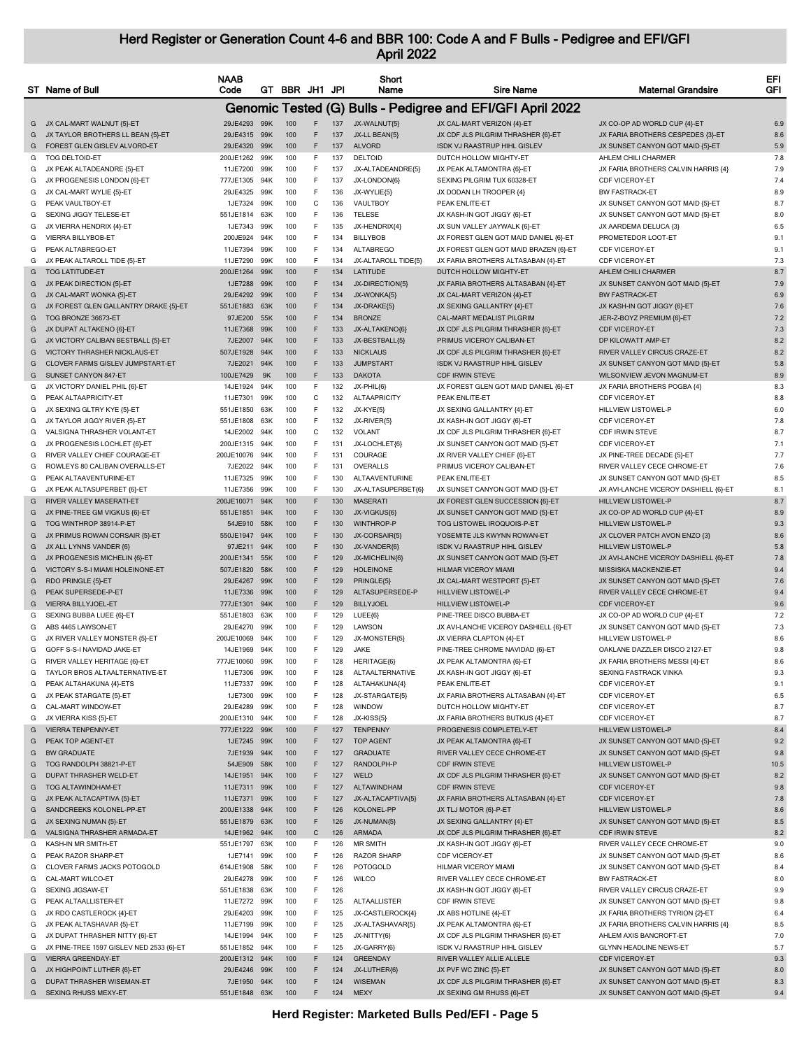|        | ST Name of Bull                                              | <b>NAAB</b><br>Code    |            | GT BBR JH1 JPI |              |            | Short<br>Name           | <b>Sire Name</b>                                            | <b>Maternal Grandsire</b>                                      | EFI<br>GFI |
|--------|--------------------------------------------------------------|------------------------|------------|----------------|--------------|------------|-------------------------|-------------------------------------------------------------|----------------------------------------------------------------|------------|
|        |                                                              |                        |            |                |              |            |                         | Genomic Tested (G) Bulls - Pedigree and EFI/GFI April 2022  |                                                                |            |
|        | G JX CAL-MART WALNUT {5}-ET                                  | 29JE4293 99K           |            | 100            | F            | 137        | JX-WALNUT{5}            | JX CAL-MART VERIZON {4}-ET                                  | JX CO-OP AD WORLD CUP {4}-ET                                   | 6.9        |
| G      | JX TAYLOR BROTHERS LL BEAN {5}-ET                            | 29JE4315 99K           |            | 100            | F            | 137        | JX-LL BEAN{5}           | JX CDF JLS PILGRIM THRASHER {6}-ET                          | JX FARIA BROTHERS CESPEDES {3}-ET                              | 8.6        |
| G      | FOREST GLEN GISLEV ALVORD-ET                                 | 29JE4320 99K           |            | 100            | F            | 137        | <b>ALVORD</b>           | ISDK VJ RAASTRUP HIHL GISLEV                                | JX SUNSET CANYON GOT MAID {5}-ET                               | 5.9        |
| G      | <b>TOG DELTOID-ET</b>                                        | 200JE1262              | 99K        | 100            | F.           | 137        | <b>DELTOID</b>          | DUTCH HOLLOW MIGHTY-ET                                      | AHLEM CHILI CHARMER                                            | 7.8        |
| G      | JX PEAK ALTADEANDRE {5}-ET                                   | 11JE7200               | 99K        | 100            | F            | 137        | JX-ALTADEANDRE{5}       | JX PEAK ALTAMONTRA {6}-ET                                   | JX FARIA BROTHERS CALVIN HARRIS {4}                            | 7.9        |
| G      | JX PROGENESIS LONDON {6}-ET                                  | 777JE1305              | 94K        | 100            | F            | 137        | JX-LONDON{6}            | SEXING PILGRIM TUX 60328-ET                                 | <b>CDF VICEROY-ET</b>                                          | 7.4        |
| G      | JX CAL-MART WYLIE {5}-ET                                     | 29JE4325               | 99K        | 100            | F            | 136        | JX-WYLIE{5}             | JX DODAN LH TROOPER {4}                                     | <b>BW FASTRACK-ET</b>                                          | 8.9        |
| G      | PEAK VAULTBOY-ET                                             | 1JE7324                | 99K        | 100            | C            | 136        | VAULTBOY                | PEAK ENLITE-ET                                              | JX SUNSET CANYON GOT MAID {5}-ET                               | 8.7        |
| G      | <b>SEXING JIGGY TELESE-ET</b>                                | 551JE1814              | 63K        | 100            | F            | 136        | <b>TELESE</b>           | JX KASH-IN GOT JIGGY {6}-ET                                 | JX SUNSET CANYON GOT MAID {5}-ET                               | 8.0        |
| G      | JX VIERRA HENDRIX {4}-ET                                     | 1JE7343                | 99K        | 100            | F            | 135        | JX-HENDRIX{4}           | JX SUN VALLEY JAYWALK {6}-ET                                | JX AARDEMA DELUCA {3}                                          | 6.5        |
| G      | VIERRA BILLYBOB-ET                                           | 200JE924               | 94K        | 100            | F            | 134        | <b>BILLYBOB</b>         | JX FOREST GLEN GOT MAID DANIEL {6}-ET                       | PROMETEDOR LOOT-ET                                             | 9.1        |
| G      | PEAK ALTABREGO-ET                                            | 11JE7394               | 99K        | 100            | F            | 134        | <b>ALTABREGO</b>        | JX FOREST GLEN GOT MAID BRAZEN {6}-ET                       | <b>CDF VICEROY-ET</b>                                          | 9.1        |
| G      | JX PEAK ALTAROLL TIDE {5}-ET                                 | 11JE7290               | 99K        | 100            | F            | 134        | JX-ALTAROLL TIDE{5}     | JX FARIA BROTHERS ALTASABAN {4}-ET                          | CDF VICEROY-ET                                                 | 7.3        |
| G      | <b>TOG LATITUDE-ET</b>                                       | 200JE1264              | 99K        | 100            | F            | 134        | LATITUDE                | DUTCH HOLLOW MIGHTY-ET                                      | AHLEM CHILI CHARMER                                            | 8.7        |
| G      | JX PEAK DIRECTION {5}-ET                                     | 1JE7288                | 99K        | 100            | F            | 134        | JX-DIRECTION{5}         | JX FARIA BROTHERS ALTASABAN {4}-ET                          | JX SUNSET CANYON GOT MAID {5}-ET                               | 7.9        |
| G      | JX CAL-MART WONKA {5}-ET                                     | 29JE4292               | 99K        | 100            | F            | 134        | JX-WONKA{5}             | JX CAL-MART VERIZON {4}-ET                                  | <b>BW FASTRACK-ET</b>                                          | 6.9        |
| G      | JX FOREST GLEN GALLANTRY DRAKE {5}-ET                        | 551JE1883              | 63K        | 100            | F            | 134        | JX-DRAKE{5}             | JX SEXING GALLANTRY {4}-ET                                  | JX KASH-IN GOT JIGGY {6}-ET                                    | 7.6        |
| G      | TOG BRONZE 36673-ET                                          | 97JE200                | 55K        | 100            | F            | 134        | <b>BRONZE</b>           | CAL-MART MEDALIST PILGRIN                                   | JER-Z-BOYZ PREMIUM {6}-ET                                      | 7.2        |
| G      | JX DUPAT ALTAKENO {6}-ET                                     | 11JE7368               | 99K        | 100            | F            | 133        | JX-ALTAKENO{6}          | JX CDF JLS PILGRIM THRASHER {6}-ET                          | <b>CDF VICEROY-ET</b>                                          | 7.3        |
| G      | JX VICTORY CALIBAN BESTBALL {5}-ET                           | 7JE2007                | 94K        | 100            | F            | 133        | JX-BESTBALL{5}          | PRIMUS VICEROY CALIBAN-ET                                   | DP KILOWATT AMP-ET                                             | 8.2        |
| G      | VICTORY THRASHER NICKLAUS-ET                                 | 507JE1928              | 94K        | 100            | F            | 133        | <b>NICKLAUS</b>         | JX CDF JLS PILGRIM THRASHER {6}-ET                          | RIVER VALLEY CIRCUS CRAZE-ET                                   | 8.2        |
| G      | CLOVER FARMS GISLEV JUMPSTART-ET                             | 7JE2021                | 94K        | 100            | F            | 133        | <b>JUMPSTART</b>        | <b>ISDK VJ RAASTRUP HIHL GISLEV</b>                         | JX SUNSET CANYON GOT MAID {5}-ET                               | 5.8        |
| G      | SUNSET CANYON 847-ET                                         | 100JE7429              | 9K         | 100            | F            | 133        | <b>DAKOTA</b>           | <b>CDF IRWIN STEVE</b>                                      | WILSONVIEW JEVON MAGNUM-ET                                     | 8.9        |
| G      | JX VICTORY DANIEL PHIL {6}-ET                                | 14JE1924               | 94K        | 100            | F            | 132        | JX-PHIL{6}              | JX FOREST GLEN GOT MAID DANIEL {6}-ET                       | JX FARIA BROTHERS POGBA {4}                                    | 8.3        |
| G      | PEAK ALTAAPRICITY-ET                                         | 11JE7301               | 99K        | 100            | С            | 132        | ALTAAPRICITY            | PEAK ENLITE-ET                                              | CDF VICEROY-ET                                                 | 8.8        |
| G      | JX SEXING GLTRY KYE {5}-ET                                   | 551JE1850              | 63K        | 100            | F            | 132        | JX-KYE{5}               | JX SEXING GALLANTRY {4}-ET                                  | HILLVIEW LISTOWEL-P                                            | 6.0        |
| G      | JX TAYLOR JIGGY RIVER {5}-ET                                 | 551JE1808              | 63K        | 100            | F            | 132        | JX-RIVER{5}             | JX KASH-IN GOT JIGGY {6}-ET                                 | <b>CDF VICEROY-ET</b>                                          | 7.8        |
| G      | VALSIGNA THRASHER VOLANT-ET                                  | 14JE2002               | 94K        | 100            | C            | 132        | VOLANT                  | JX CDF JLS PILGRIM THRASHER {6}-ET                          | CDF IRWIN STEVE                                                | 8.7        |
| G      | JX PROGENESIS LOCHLET {6}-ET                                 | 200JE1315              | 94K        | 100            | F            | 131        | JX-LOCHLET{6}           | JX SUNSET CANYON GOT MAID {5}-ET                            | CDF VICEROY-ET                                                 | 7.1        |
| G      | RIVER VALLEY CHIEF COURAGE-ET                                | 200JE10076             | 94K        | 100            | F            | 131        | COURAGE                 | JX RIVER VALLEY CHIEF {6}-ET                                | JX PINE-TREE DECADE {5}-ET                                     | 7.7        |
| G      | ROWLEYS 80 CALIBAN OVERALLS-ET                               | 7JE2022                | 94K        | 100            | F            | 131        | OVERALLS                | PRIMUS VICEROY CALIBAN-ET                                   | RIVER VALLEY CECE CHROME-ET                                    | 7.6        |
| G      | PEAK ALTAAVENTURINE-ET                                       | 11JE7325               | 99K        | 100            | F            | 130        | ALTAAVENTURINE          | PEAK ENLITE-ET                                              | JX SUNSET CANYON GOT MAID {5}-ET                               | 8.5        |
| G      | JX PEAK ALTASUPERBET {6}-ET                                  | 11JE7356               | 99K        | 100            | F            | 130        | JX-ALTASUPERBET{6}      | JX SUNSET CANYON GOT MAID {5}-ET                            | JX AVI-LANCHE VICEROY DASHIELL {6}-ET                          | 8.1        |
| G      | RIVER VALLEY MASERATI-ET                                     | 200JE10071             | 94K        | 100            | F            | 130        | <b>MASERATI</b>         | JX FOREST GLEN SUCCESSION {6}-ET                            | <b>HILLVIEW LISTOWEL-P</b>                                     | 8.7        |
| G      | JX PINE-TREE GM VIGKUS {6}-ET                                | 551JE1851              | 94K        | 100            | F            | 130        | JX-VIGKUS{6}            | JX SUNSET CANYON GOT MAID {5}-ET                            | JX CO-OP AD WORLD CUP {4}-ET                                   | 8.9        |
| G      | TOG WINTHROP 38914-P-ET                                      | 54JE910                | 58K        | 100            | F            | 130        | WINTHROP-P              | TOG LISTOWEL IROQUOIS-P-ET                                  | HILLVIEW LISTOWEL-P                                            | 9.3        |
| G      | JX PRIMUS ROWAN CORSAIR {5}-ET                               | 550JE1947              | 94K        | 100            | F            | 130        | JX-CORSAIR{5}           | YOSEMITE JLS KWYNN ROWAN-ET                                 | JX CLOVER PATCH AVON ENZO {3}                                  | 8.6        |
| G      | JX ALL LYNNS VANDER {6}                                      | 97JE211                | 94K        | 100            | F            | 130        | JX-VANDER{6}            | ISDK VJ RAASTRUP HIHL GISLEV                                | <b>HILLVIEW LISTOWEL-P</b>                                     | 5.8        |
| G      | JX PROGENESIS MICHELIN {6}-ET                                | 200JE1341              | 55K        | 100            | F            | 129        | JX-MICHELIN{6}          | JX SUNSET CANYON GOT MAID {5}-ET                            | JX AVI-LANCHE VICEROY DASHIELL {6}-ET                          | 7.8        |
| G      | VICTORY S-S-I MIAMI HOLEINONE-ET                             | 507JE1820              | 58K        | 100            | F            | 129        | <b>HOLEINONE</b>        | HILMAR VICEROY MIAMI                                        | MISSISKA MACKENZIE-ET                                          | 9.4        |
| G      | RDO PRINGLE {5}-ET                                           | 29JE4267               | 99K        | 100            | F            | 129        | PRINGLE{5}              | JX CAL-MART WESTPORT {5}-ET                                 | JX SUNSET CANYON GOT MAID {5}-ET                               | 7.6        |
| G      | PEAK SUPERSEDE-P-ET                                          | 11JE7336               | 99K        | 100            | F            | 129        | ALTASUPERSEDE-P         | <b>HILLVIEW LISTOWEL-P</b>                                  | RIVER VALLEY CECE CHROME-ET                                    | 9.4        |
| G      | VIERRA BILLYJOEL-ET                                          | 777JE1301              | 94K        | 100            | F            | 129        | <b>BILLYJOEL</b>        | <b>HILLVIEW LISTOWEL-P</b>                                  | <b>CDF VICEROY-ET</b>                                          | 9.6        |
| G      | SEXING BUBBA LUEE {6}-ET                                     | 551JE1803              | 63K        | 100            | F            | 129        | LUEE{6}                 | PINE-TREE DISCO BUBBA-ET                                    | JX CO-OP AD WORLD CUP {4}-ET                                   | 7.2        |
| G      | ABS 4465 LAWSON-ET                                           | 29JE4270<br>200JE10069 | 99K        | 100<br>100     | F<br>F       | 129<br>129 | LAWSON<br>JX-MONSTER{5} | JX AVI-LANCHE VICEROY DASHIELL {6}-ET                       | JX SUNSET CANYON GOT MAID {5}-ET<br><b>HILLVIEW LISTOWEL-P</b> | 7.3<br>8.6 |
| G<br>G | JX RIVER VALLEY MONSTER {5}-ET<br>GOFF S-S-I NAVIDAD JAKE-ET | 14JE1969               | 94K<br>94K | 100            | F            | 129        | <b>JAKE</b>             | JX VIERRA CLAPTON {4}-ET<br>PINE-TREE CHROME NAVIDAD {6}-ET | OAKLANE DAZZLER DISCO 2127-ET                                  | 9.8        |
| G      | RIVER VALLEY HERITAGE {6}-ET                                 | 777JE10060             | 99K        | 100            | F            | 128        | HERITAGE{6}             | JX PEAK ALTAMONTRA {6}-ET                                   | JX FARIA BROTHERS MESSI {4}-ET                                 | 8.6        |
| G      | TAYLOR BROS ALTAALTERNATIVE-ET                               | 11JE7306               | 99K        | 100            | F            | 128        | ALTAALTERNATIVE         | JX KASH-IN GOT JIGGY {6}-ET                                 | SEXING FASTRACK VINKA                                          | 9.3        |
|        | PEAK ALTAHAKUNA {4}-ETS                                      | 11JE7337               | 99K        | 100            | F            | 128        | ALTAHAKUNA{4}           | PEAK ENLITE-ET                                              | CDF VICEROY-ET                                                 | 9.1        |
| G<br>G | JX PEAK STARGATE {5}-ET                                      | 1JE7300                | 99K        | 100            | F            | 128        | JX-STARGATE{5}          | JX FARIA BROTHERS ALTASABAN {4}-ET                          | CDF VICEROY-ET                                                 | 6.5        |
| G      | CAL-MART WINDOW-ET                                           | 29JE4289               | 99K        | 100            | F            | 128        | WINDOW                  | DUTCH HOLLOW MIGHTY-ET                                      | <b>CDF VICEROY-ET</b>                                          | 8.7        |
| G      | JX VIERRA KISS {5}-ET                                        | 200JE1310              | 94K        | 100            | F            | 128        | JX-KISS{5}              | JX FARIA BROTHERS BUTKUS {4}-ET                             | CDF VICEROY-ET                                                 | 8.7        |
| G      | <b>VIERRA TENPENNY-ET</b>                                    | 777JE1222              | 99K        | 100            | F            | 127        | <b>TENPENNY</b>         | PROGENESIS COMPLETELY-ET                                    | <b>HILLVIEW LISTOWEL-P</b>                                     | 8.4        |
| G      | PEAK TOP AGENT-ET                                            | 1JE7245                | 99K        | 100            | F            | 127        | <b>TOP AGENT</b>        | JX PEAK ALTAMONTRA {6}-ET                                   | JX SUNSET CANYON GOT MAID {5}-ET                               | 9.2        |
| G      | <b>BW GRADUATE</b>                                           | 7JE1939                | 94K        | 100            | F            | 127        | <b>GRADUATE</b>         | RIVER VALLEY CECE CHROME-ET                                 | JX SUNSET CANYON GOT MAID {5}-ET                               | 9.8        |
| G      | TOG RANDOLPH 38821-P-ET                                      | 54JE909                | 58K        | 100            | F            | 127        | RANDOLPH-P              | <b>CDF IRWIN STEVE</b>                                      | HILLVIEW LISTOWEL-P                                            | 10.5       |
| G      | DUPAT THRASHER WELD-ET                                       | 14JE1951               | 94K        | 100            | F            | 127        | WELD                    | JX CDF JLS PILGRIM THRASHER {6}-ET                          | JX SUNSET CANYON GOT MAID {5}-ET                               | 8.2        |
| G      | TOG ALTAWINDHAM-ET                                           | 11JE7311               | 99K        | 100            | F            | 127        | ALTAWINDHAM             | <b>CDF IRWIN STEVE</b>                                      | CDF VICEROY-ET                                                 | 9.8        |
| G      | JX PEAK ALTACAPTIVA {5}-ET                                   | 11JE7371               | 99K        | 100            | F            | 127        | JX-ALTACAPTIVA{5}       | JX FARIA BROTHERS ALTASABAN {4}-ET                          | <b>CDF VICEROY-ET</b>                                          | 7.8        |
| G      | SANDCREEKS KOLONEL-PP-ET                                     | 200JE1338              | 94K        | 100            | F            | 126        | KOLONEL-PP              | JX TLJ MOTOR {6}-P-ET                                       | HILLVIEW LISTOWEL-P                                            | 8.6        |
| G      | JX SEXING NUMAN {5}-ET                                       | 551JE1879              | 63K        | 100            | F            | 126        | JX-NUMAN(5)             | JX SEXING GALLANTRY {4}-ET                                  | JX SUNSET CANYON GOT MAID {5}-ET                               | 8.5        |
| G      | VALSIGNA THRASHER ARMADA-ET                                  | 14JE1962               | 94K        | 100            | $\mathsf{C}$ | 126        | <b>ARMADA</b>           | JX CDF JLS PILGRIM THRASHER {6}-ET                          | <b>CDF IRWIN STEVE</b>                                         | 8.2        |
| G      | KASH-IN MR SMITH-ET                                          | 551JE1797              | 63K        | 100            | F            | 126        | <b>MR SMITH</b>         | JX KASH-IN GOT JIGGY {6}-ET                                 | RIVER VALLEY CECE CHROME-ET                                    | 9.0        |
| G      | PEAK RAZOR SHARP-ET                                          | 1JE7141                | 99K        | 100            | F            | 126        | <b>RAZOR SHARP</b>      | CDF VICEROY-ET                                              | JX SUNSET CANYON GOT MAID {5}-ET                               | 8.6        |
| G      | CLOVER FARMS JACKS POTOGOLD                                  | 614JE1908              | 58K        | 100            | F            | 126        | POTOGOLD                | HILMAR VICEROY MIAMI                                        | JX SUNSET CANYON GOT MAID {5}-ET                               | 8.4        |
| G      | CAL-MART WILCO-ET                                            | 29JE4278               | 99K        | 100            | F            | 126        | <b>WILCO</b>            | RIVER VALLEY CECE CHROME-ET                                 | <b>BW FASTRACK-ET</b>                                          | 8.0        |
| G      | SEXING JIGSAW-ET                                             | 551JE1838              | 63K        | 100            | F            | 126        |                         | JX KASH-IN GOT JIGGY {6}-ET                                 | RIVER VALLEY CIRCUS CRAZE-ET                                   | 9.9        |
| G      | PEAK ALTAALLISTER-ET                                         | 11JE7272 99K           |            | 100            | F            | 125        | ALTAALLISTER            | CDF IRWIN STEVE                                             | JX SUNSET CANYON GOT MAID {5}-ET                               | 9.8        |
| G      | JX RDO CASTLEROCK {4}-ET                                     | 29JE4203               | 99K        | 100            | F            | 125        | JX-CASTLEROCK{4}        | JX ABS HOTLINE {4}-ET                                       | JX FARIA BROTHERS TYRION {2}-ET                                | 6.4        |
| G      | JX PEAK ALTASHAVAR {5}-ET                                    | 11JE7199               | 99K        | 100            | F            | 125        | JX-ALTASHAVAR{5}        | JX PEAK ALTAMONTRA {6}-ET                                   | JX FARIA BROTHERS CALVIN HARRIS {4}                            | 8.5        |
| G      | JX DUPAT THRASHER NITTY {6}-ET                               | 14JE1994               | 94K        | 100            | F            | 125        | JX-NITTY{6}             | JX CDF JLS PILGRIM THRASHER {6}-ET                          | AHLEM AXIS BANCROFT-ET                                         | 7.0        |
| G      | JX PINE-TREE 1597 GISLEV NED 2533 {6}-ET                     | 551JE1852              | 94K        | 100            | F            | 125        | JX-GARRY{6}             | ISDK VJ RAASTRUP HIHL GISLEV                                | <b>GLYNN HEADLINE NEWS-ET</b>                                  | 5.7        |
| G      | <b>VIERRA GREENDAY-ET</b>                                    | 200JE1312 94K          |            | 100            | F            | 124        | <b>GREENDAY</b>         | RIVER VALLEY ALLIE ALLELE                                   | CDF VICEROY-ET                                                 | 9.3        |
| G      | JX HIGHPOINT LUTHER {6}-ET                                   | 29JE4246               | 99K        | 100            | F            | 124        | JX-LUTHER{6}            | JX PVF WC ZINC {5}-ET                                       | JX SUNSET CANYON GOT MAID {5}-ET                               | 8.0        |
| G      | DUPAT THRASHER WISEMAN-ET                                    | 7JE1950                | 94K        | 100            | F            | 124        | <b>WISEMAN</b>          | JX CDF JLS PILGRIM THRASHER {6}-ET                          | JX SUNSET CANYON GOT MAID {5}-ET                               | 8.3        |
|        | G SEXING RHUSS MEXY-ET                                       | 551JE1848 63K          |            | 100            | F            | 124        | <b>MEXY</b>             | JX SEXING GM RHUSS {6}-ET                                   | JX SUNSET CANYON GOT MAID {5}-ET                               | 9.4        |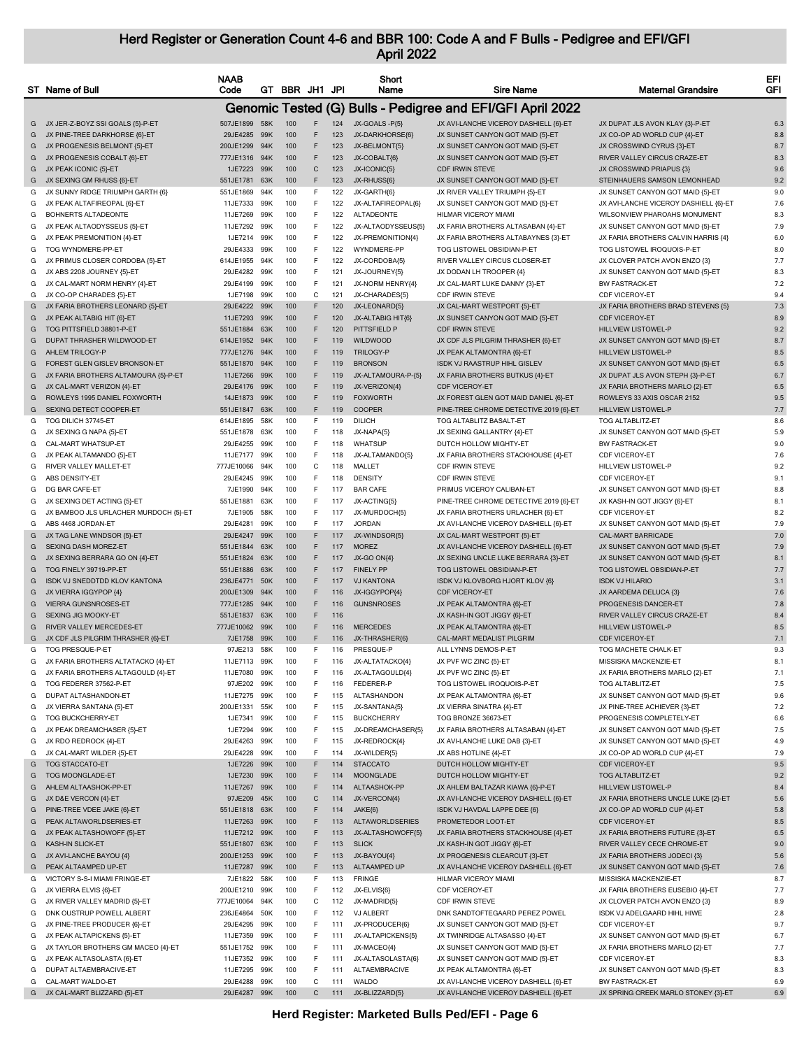|        | ST Name of Bull                                                | <b>NAAB</b><br>Code      |            | GT BBR JH1 JPI |                  |            | Short<br>Name                      | <b>Sire Name</b>                                                   | <b>Maternal Grandsire</b>                                    | EFI<br>GFI |
|--------|----------------------------------------------------------------|--------------------------|------------|----------------|------------------|------------|------------------------------------|--------------------------------------------------------------------|--------------------------------------------------------------|------------|
|        |                                                                |                          |            |                |                  |            |                                    | Genomic Tested (G) Bulls - Pedigree and EFI/GFI April 2022         |                                                              |            |
|        | G JX JER-Z-BOYZ SSI GOALS {5}-P-ET                             | 507JE1899 58K            |            | 100            | F                | 124        | JX-GOALS -P{5}                     | JX AVI-LANCHE VICEROY DASHIELL {6}-ET                              | JX DUPAT JLS AVON KLAY {3}-P-ET                              | 6.3        |
| G      | JX PINE-TREE DARKHORSE {6}-ET                                  | 29JE4285                 | 99K        | 100            | F                | 123        | JX-DARKHORSE{6}                    | JX SUNSET CANYON GOT MAID {5}-ET                                   | JX CO-OP AD WORLD CUP {4}-ET                                 | 8.8        |
| G      | JX PROGENESIS BELMONT {5}-ET                                   | 200JE1299                | 94K        | 100            | F                | 123        | JX-BELMONT{5}                      | JX SUNSET CANYON GOT MAID {5}-ET                                   | JX CROSSWIND CYRUS {3}-ET                                    | 8.7        |
| G      | JX PROGENESIS COBALT {6}-ET                                    | 777JE1316 94K            |            | 100            | F                | 123        | JX-COBALT{6}                       | JX SUNSET CANYON GOT MAID {5}-ET                                   | RIVER VALLEY CIRCUS CRAZE-ET                                 | 8.3        |
| G      | JX PEAK ICONIC {5}-ET                                          | 1JE7223 99K<br>551JE1781 | 63K        | 100<br>100     | $\mathsf C$<br>F | 123<br>123 | JX-ICONIC{5}<br>JX-RHUSS{6}        | <b>CDF IRWIN STEVE</b>                                             | JX CROSSWIND PRIAPUS {3}<br>STEINHAUERS SAMSON LEMONHEAD     | 9.6<br>9.2 |
| G<br>G | JX SEXING GM RHUSS {6}-ET<br>JX SUNNY RIDGE TRIUMPH GARTH {6}  | 551JE1869                | 94K        | 100            | F                | 122        | JX-GARTH{6}                        | JX SUNSET CANYON GOT MAID {5}-ET<br>JX RIVER VALLEY TRIUMPH {5}-ET | JX SUNSET CANYON GOT MAID {5}-ET                             | 9.0        |
| G      | JX PEAK ALTAFIREOPAL {6}-ET                                    | 11JE7333                 | 99K        | 100            | F                | 122        | JX-ALTAFIREOPAL{6}                 | JX SUNSET CANYON GOT MAID {5}-ET                                   | JX AVI-LANCHE VICEROY DASHIELL {6}-ET                        | 7.6        |
| G      | BOHNERTS ALTADEONTE                                            | 11JE7269                 | 99K        | 100            | F                | 122        | <b>ALTADEONTE</b>                  | HILMAR VICEROY MIAMI                                               | WILSONVIEW PHAROAHS MONUMENT                                 | 8.3        |
| G      | JX PEAK ALTAODYSSEUS {5}-ET                                    | 11JE7292                 | 99K        | 100            | F                | 122        | JX-ALTAODYSSEUS{5}                 | JX FARIA BROTHERS ALTASABAN {4}-ET                                 | JX SUNSET CANYON GOT MAID {5}-ET                             | 7.9        |
| G      | JX PEAK PREMONITION {4}-ET                                     | 1JE7214                  | 99K        | 100            | F                | 122        | JX-PREMONITION(4)                  | JX FARIA BROTHERS ALTABAYNES {3}-ET                                | JX FARIA BROTHERS CALVIN HARRIS {4}                          | 6.0        |
| G      | TOG WYNDMERE-PP-ET                                             | 29JE4333                 | 99K        | 100            | F                | 122        | WYNDMERE-PP                        | TOG LISTOWEL OBSIDIAN-P-ET                                         | TOG LISTOWEL IROQUOIS-P-ET                                   | 8.0        |
| G      | JX PRIMUS CLOSER CORDOBA {5}-ET                                | 614JE1955                | 94K        | 100            | F                | 122        | JX-CORDOBA{5}                      | RIVER VALLEY CIRCUS CLOSER-ET                                      | JX CLOVER PATCH AVON ENZO {3}                                | 7.7        |
| G      | JX ABS 2208 JOURNEY {5}-ET                                     | 29JE4282 99K             |            | 100            | F.               | 121        | JX-JOURNEY{5}                      | JX DODAN LH TROOPER {4}                                            | JX SUNSET CANYON GOT MAID {5}-ET                             | 8.3        |
| G      | JX CAL-MART NORM HENRY {4}-ET                                  | 29JE4199                 | 99K        | 100            | F                | 121        | JX-NORM HENRY{4}                   | JX CAL-MART LUKE DANNY {3}-ET                                      | <b>BW FASTRACK-ET</b>                                        | 7.2        |
| G      | JX CO-OP CHARADES {5}-ET                                       | 1JE7198                  | 99K        | 100            | C                | 121        | JX-CHARADES{5}                     | CDF IRWIN STEVE                                                    | CDF VICEROY-ET                                               | 9.4        |
| G<br>G | JX FARIA BROTHERS LEONARD {5}-ET<br>JX PEAK ALTABIG HIT {6}-ET | 29JE4222<br>11JE7293     | 99K<br>99K | 100<br>100     | F<br>F           | 120<br>120 | JX-LEONARD{5}<br>JX-ALTABIG HIT{6} | JX CAL-MART WESTPORT {5}-ET<br>JX SUNSET CANYON GOT MAID {5}-ET    | JX FARIA BROTHERS BRAD STEVENS {5}<br>CDF VICEROY-ET         | 7.3<br>8.9 |
| G      | TOG PITTSFIELD 38801-P-ET                                      | 551JE1884                | 63K        | 100            | F                | 120        | PITTSFIELD P                       | <b>CDF IRWIN STEVE</b>                                             | <b>HILLVIEW LISTOWEL-P</b>                                   | 9.2        |
| G      | DUPAT THRASHER WILDWOOD-ET                                     | 614JE1952                | 94K        | 100            | F                | 119        | WILDWOOD                           | JX CDF JLS PILGRIM THRASHER {6}-ET                                 | JX SUNSET CANYON GOT MAID {5}-ET                             | 8.7        |
| G      | AHLEM TRILOGY-P                                                | 777JE1276 94K            |            | 100            | F                | 119        | <b>TRILOGY-P</b>                   | JX PEAK ALTAMONTRA {6}-ET                                          | HILLVIEW LISTOWEL-P                                          | 8.5        |
| G      | FOREST GLEN GISLEV BRONSON-ET                                  | 551JE1870                | 94K        | 100            | F                | 119        | <b>BRONSON</b>                     | ISDK VJ RAASTRUP HIHL GISLEV                                       | JX SUNSET CANYON GOT MAID {5}-ET                             | 6.5        |
| G      | JX FARIA BROTHERS ALTAMOURA {5}-P-ET                           | 11JE7266                 | 99K        | 100            | F                | 119        | JX-ALTAMOURA-P-{5}                 | JX FARIA BROTHERS BUTKUS {4}-ET                                    | JX DUPAT JLS AVON STEPH {3}-P-ET                             | 6.7        |
| G      | JX CAL-MART VERIZON {4}-ET                                     | 29JE4176                 | 99K        | 100            | F                | 119        | JX-VERIZON{4}                      | <b>CDF VICEROY-ET</b>                                              | JX FARIA BROTHERS MARLO {2}-ET                               | 6.5        |
| G      | ROWLEYS 1995 DANIEL FOXWORTH                                   | 14JE1873                 | 99K        | 100            | F                | 119        | <b>FOXWORTH</b>                    | JX FOREST GLEN GOT MAID DANIEL {6}-ET                              | ROWLEYS 33 AXIS OSCAR 2152                                   | 9.5        |
| G      | SEXING DETECT COOPER-ET                                        | 551JE1847                | 63K        | 100            | F                | 119        | COOPER                             | PINE-TREE CHROME DETECTIVE 2019 {6}-ET                             | HILLVIEW LISTOWEL-P                                          | 7.7        |
| G      | TOG DILICH 37745-ET                                            | 614JE1895                | 58K        | 100            | F.               | 119        | DILICH                             | TOG ALTABLITZ BASALT-ET                                            | TOG ALTABLITZ-ET                                             | 8.6        |
| G      | JX SEXING G NAPA {5}-ET                                        | 551JE1878                | 63K        | 100            | F                | 118        | JX-NAPA{5}                         | JX SEXING GALLANTRY {4}-ET                                         | JX SUNSET CANYON GOT MAID {5}-ET                             | 5.9        |
| G      | CAL-MART WHATSUP-ET                                            | 29JE4255                 | 99K        | 100            | F                | 118        | <b>WHATSUP</b>                     | DUTCH HOLLOW MIGHTY-ET                                             | <b>BW FASTRACK-ET</b>                                        | 9.0        |
| G      | JX PEAK ALTAMANDO {5}-ET<br>RIVER VALLEY MALLET-ET             | 11JE7177                 | 99K<br>94K | 100<br>100     | F<br>C           | 118<br>118 | JX-ALTAMANDO{5}<br>MALLET          | JX FARIA BROTHERS STACKHOUSE {4}-ET<br>CDF IRWIN STEVE             | CDF VICEROY-ET<br>HILLVIEW LISTOWEL-P                        | 7.6<br>9.2 |
| G<br>G | ABS DENSITY-ET                                                 | 777JE10066<br>29JE4245   | 99K        | 100            | F.               | 118        | <b>DENSITY</b>                     | CDF IRWIN STEVE                                                    | CDF VICEROY-ET                                               | 9.1        |
| G      | DG BAR CAFE-ET                                                 | 7JE1990                  | 94K        | 100            | F                | 117        | <b>BAR CAFE</b>                    | PRIMUS VICEROY CALIBAN-ET                                          | JX SUNSET CANYON GOT MAID {5}-ET                             | 8.8        |
| G      | JX SEXING DET ACTING {5}-ET                                    | 551JE1881                | 63K        | 100            | F                | 117        | JX-ACTING{5}                       | PINE-TREE CHROME DETECTIVE 2019 {6}-ET                             | JX KASH-IN GOT JIGGY {6}-ET                                  | 8.1        |
| G      | JX BAMBOO JLS URLACHER MURDOCH {5}-ET                          | 7JE1905                  | 58K        | 100            | F.               | 117        | JX-MURDOCH{5}                      | JX FARIA BROTHERS URLACHER {6}-ET                                  | CDF VICEROY-ET                                               | 8.2        |
| G      | ABS 4468 JORDAN-ET                                             | 29JE4281                 | 99K        | 100            | F.               | 117        | <b>JORDAN</b>                      | JX AVI-LANCHE VICEROY DASHIELL {6}-ET                              | JX SUNSET CANYON GOT MAID {5}-ET                             | 7.9        |
| G      | JX TAG LANE WINDSOR {5}-ET                                     | 29JE4247                 | 99K        | 100            | F                | 117        | JX-WINDSOR{5}                      | JX CAL-MART WESTPORT {5}-ET                                        | CAL-MART BARRICADE                                           | 7.0        |
| G      | SEXING DASH MOREZ-ET                                           | 551JE1844                | 63K        | 100            | F                | 117        | <b>MOREZ</b>                       | JX AVI-LANCHE VICEROY DASHIELL {6}-ET                              | JX SUNSET CANYON GOT MAID {5}-ET                             | 7.9        |
| G      | JX SEXING BERRARA GO ON {4}-ET                                 | 551JE1824 63K            |            | 100            | F                | 117        | <b>JX-GO ON{4}</b>                 | JX SEXING UNCLE LUKE BERRARA {3}-ET                                | JX SUNSET CANYON GOT MAID {5}-ET                             | 8.1        |
| G      | TOG FINELY 39719-PP-ET                                         | 551JE1886                | 63K        | 100            | F                | 117        | <b>FINELY PP</b>                   | TOG LISTOWEL OBSIDIAN-P-ET                                         | TOG LISTOWEL OBSIDIAN-P-ET                                   | 7.7        |
| G      | ISDK VJ SNEDDTDD KLOV KANTONA                                  | 236JE4771                | 50K        | 100            | F                | 117        | <b>VJ KANTONA</b>                  | ISDK VJ KLOVBORG HJORT KLOV {6}                                    | <b>ISDK VJ HILARIO</b>                                       | 3.1        |
| G      | JX VIERRA IGGYPOP {4}                                          | 200JE1309                | 94K        | 100            | F                | 116        | JX-IGGYPOP{4}                      | CDF VICEROY-ET                                                     | JX AARDEMA DELUCA {3}                                        | 7.6        |
| G<br>G | <b>VIERRA GUNSNROSES-ET</b><br><b>SEXING JIG MOOKY-ET</b>      | 777JE1285<br>551JE1837   | 94K<br>63K | 100<br>100     | F<br>F           | 116<br>116 | <b>GUNSNROSES</b>                  | JX PEAK ALTAMONTRA {6}-ET<br>JX KASH-IN GOT JIGGY {6}-ET           | PROGENESIS DANCER-ET<br>RIVER VALLEY CIRCUS CRAZE-ET         | 7.8<br>8.4 |
| G      | RIVER VALLEY MERCEDES-ET                                       | 777JE10062               | 99K        | 100            | F                | 116        | <b>MERCEDES</b>                    | JX PEAK ALTAMONTRA {6}-ET                                          | HILLVIEW LISTOWEL-P                                          | 8.5        |
| G      | JX CDF JLS PILGRIM THRASHER {6}-ET                             | 7JE1758 99K              |            | 100            | F                | 116        | JX-THRASHER{6}                     | CAL-MART MEDALIST PILGRIM                                          | CDF VICEROY-ET                                               | 7.1        |
| G      | TOG PRESQUE-P-ET                                               | 97JE213 58K              |            | 100            | F                | 116        | PRESQUE-P                          | ALL LYNNS DEMOS-P-ET                                               | TOG MACHETE CHALK-ET                                         | 9.3        |
| G      | JX FARIA BROTHERS ALTATACKO {4}-ET                             | 11JE7113                 | 99K        | 100            | F                | 116        | JX-ALTATACKO{4}                    | JX PVF WC ZINC {5}-ET                                              | MISSISKA MACKENZIE-ET                                        | 8.1        |
| G      | JX FARIA BROTHERS ALTAGOULD {4}-ET                             | 11JE7080                 | 99K        | 100            | F                | 116        | JX-ALTAGOULD{4}                    | JX PVF WC ZINC {5}-ET                                              | JX FARIA BROTHERS MARLO {2}-ET                               | 7.1        |
| G      | TOG FEDERER 37562-P-ET                                         | 97JE202                  | 99K        | 100            | F                | 116        | FEDERER-P                          | TOG LISTOWEL IROQUOIS-P-ET                                         | TOG ALTABLITZ-ET                                             | 7.5        |
| G      | DUPAT ALTASHANDON-ET                                           | 11JE7275                 | 99K        | 100            | F                | 115        | ALTASHANDON                        | JX PEAK ALTAMONTRA {6}-ET                                          | JX SUNSET CANYON GOT MAID {5}-ET                             | 9.6        |
| G      | JX VIERRA SANTANA {5}-ET                                       | 200JE1331                | 55K        | 100            | F                | 115        | JX-SANTANA{5}                      | JX VIERRA SINATRA {4}-ET                                           | JX PINE-TREE ACHIEVER {3}-ET                                 | 7.2        |
| G      | TOG BUCKCHERRY-ET                                              | 1JE7341                  | 99K        | 100            | F                | 115        | <b>BUCKCHERRY</b>                  | TOG BRONZE 36673-ET                                                | PROGENESIS COMPLETELY-ET                                     | 6.6        |
| G      | JX PEAK DREAMCHASER {5}-ET                                     | 1JE7294                  | 99K        | 100            | F                | 115        | JX-DREAMCHASER{5}                  | JX FARIA BROTHERS ALTASABAN {4}-ET                                 | JX SUNSET CANYON GOT MAID {5}-ET                             | 7.5        |
| G      | JX RDO REDROCK {4}-ET                                          | 29JE4263                 | 99K        | 100<br>100     | F<br>F.          | 115<br>114 | JX-REDROCK{4}                      | JX AVI-LANCHE LUKE DAB {3}-ET                                      | JX SUNSET CANYON GOT MAID {5}-ET                             | 4.9        |
| G<br>G | JX CAL-MART WILDER {5}-ET<br><b>TOG STACCATO-ET</b>            | 29JE4228<br>1JE7226      | 99K<br>99K | 100            | F                | 114        | JX-WILDER{5}<br><b>STACCATO</b>    | JX ABS HOTLINE {4}-ET<br>DUTCH HOLLOW MIGHTY-ET                    | JX CO-OP AD WORLD CUP {4}-ET<br>CDF VICEROY-ET               | 7.9<br>9.5 |
| G      | TOG MOONGLADE-ET                                               | 1JE7230                  | 99K        | 100            | F                | 114        | <b>MOONGLADE</b>                   | DUTCH HOLLOW MIGHTY-ET                                             | <b>TOG ALTABLITZ-ET</b>                                      | 9.2        |
| G      | AHLEM ALTAASHOK-PP-ET                                          | 11JE7267                 | 99K        | 100            | F                | 114        | ALTAASHOK-PP                       | JX AHLEM BALTAZAR KIAWA {6}-P-ET                                   | HILLVIEW LISTOWEL-P                                          | 8.4        |
| G      | JX D&E VERCON {4}-ET                                           | 97JE209                  | 45K        | 100            | $\mathsf{C}$     | 114        | JX-VERCON{4}                       | JX AVI-LANCHE VICEROY DASHIELL {6}-ET                              | JX FARIA BROTHERS UNCLE LUKE {2}-ET                          | 5.6        |
| G      | PINE-TREE VDEE JAKE {6}-ET                                     | 551JE1818                | 63K        | 100            | F                | 114        | JAKE{6}                            | ISDK VJ HAVDAL LAPPE DEE {6}                                       | JX CO-OP AD WORLD CUP {4}-ET                                 | 5.8        |
| G      | PEAK ALTAWORLDSERIES-ET                                        | 11JE7263                 | 99K        | 100            | F                | 113        | <b>ALTAWORLDSERIES</b>             | PROMETEDOR LOOT-ET                                                 | CDF VICEROY-ET                                               | 8.5        |
| G      | JX PEAK ALTASHOWOFF {5}-ET                                     | 11JE7212 99K             |            | 100            | F                | 113        | JX-ALTASHOWOFF{5}                  | JX FARIA BROTHERS STACKHOUSE {4}-ET                                | JX FARIA BROTHERS FUTURE {3}-ET                              | 6.5        |
| G      | KASH-IN SLICK-ET                                               | 551JE1807 63K            |            | 100            | F                | 113        | <b>SLICK</b>                       | JX KASH-IN GOT JIGGY {6}-ET                                        | RIVER VALLEY CECE CHROME-ET                                  | 9.0        |
| G      | JX AVI-LANCHE BAYOU {4}                                        | 200JE1253                | 99K        | 100            | F                | 113        | JX-BAYOU{4}                        | JX PROGENESIS CLEARCUT {3}-ET                                      | JX FARIA BROTHERS JODECI {3}                                 | 5.6        |
| G      | PEAK ALTAAMPED UP-ET                                           | 11JE7287                 | 99K        | 100            | F                | 113        | ALTAAMPED UP                       | JX AVI-LANCHE VICEROY DASHIELL {6}-ET                              | JX SUNSET CANYON GOT MAID {5}-ET                             | 7.6        |
| G      | VICTORY S-S-I MIAMI FRINGE-ET                                  | 7JE1822                  | 58K        | 100            | F                | 113        | <b>FRINGE</b>                      | HILMAR VICEROY MIAMI                                               | MISSISKA MACKENZIE-ET                                        | 8.7        |
| G      | JX VIERRA ELVIS {6}-ET                                         | 200JE1210                | 99K        | 100            | F                | 112        | JX-ELVIS{6}                        | CDF VICEROY-ET                                                     | JX FARIA BROTHERS EUSEBIO {4}-ET                             | 7.7        |
| G<br>G | JX RIVER VALLEY MADRID {5}-ET<br>DNK OUSTRUP POWELL ALBERT     | 777JE10064<br>236JE4864  | 94K<br>50K | 100<br>100     | C<br>F           | 112<br>112 | JX-MADRID{5}<br>VJ ALBERT          | CDF IRWIN STEVE<br>DNK SANDTOFTEGAARD PEREZ POWEL                  | JX CLOVER PATCH AVON ENZO {3}<br>ISDK VJ ADELGAARD HIHL HIWE | 8.9<br>2.8 |
| G      | JX PINE-TREE PRODUCER {6}-ET                                   | 29JE4295 99K             |            | 100            | F                | 111        | JX-PRODUCER{6}                     | JX SUNSET CANYON GOT MAID {5}-ET                                   | CDF VICEROY-ET                                               | 9.7        |
| G      | JX PEAK ALTAPICKENS {5}-ET                                     | 11JE7359                 | 99K        | 100            | F                | 111        | JX-ALTAPICKENS{5}                  | JX TWINRIDGE ALTASASSO {4}-ET                                      | JX SUNSET CANYON GOT MAID {5}-ET                             | 6.7        |
| G      | JX TAYLOR BROTHERS GM MACEO {4}-ET                             | 551JE1752 99K            |            | 100            | F                | 111        | JX-MACEO{4}                        | JX SUNSET CANYON GOT MAID {5}-ET                                   | JX FARIA BROTHERS MARLO {2}-ET                               | 7.7        |
| G      | JX PEAK ALTASOLASTA {6}-ET                                     | 11JE7352                 | 99K        | 100            | F                | 111        | JX-ALTASOLASTA{6}                  | JX SUNSET CANYON GOT MAID {5}-ET                                   | CDF VICEROY-ET                                               | 8.3        |
| G      | DUPAT ALTAEMBRACIVE-ET                                         | 11JE7295                 | 99K        | 100            | F                | 111        | ALTAEMBRACIVE                      | JX PEAK ALTAMONTRA {6}-ET                                          | JX SUNSET CANYON GOT MAID {5}-ET                             | 8.3        |
| G      | CAL-MART WALDO-ET                                              | 29JE4288                 | 99K        | 100            | C                | 111        | WALDO                              | JX AVI-LANCHE VICEROY DASHIELL {6}-ET                              | <b>BW FASTRACK-ET</b>                                        | 6.9        |
|        | G JX CAL-MART BLIZZARD {5}-ET                                  | 29JE4287 99K             |            | 100            | C                | 111        | JX-BLIZZARD{5}                     | JX AVI-LANCHE VICEROY DASHIELL {6}-ET                              | JX SPRING CREEK MARLO STONEY {3}-ET                          | 6.9        |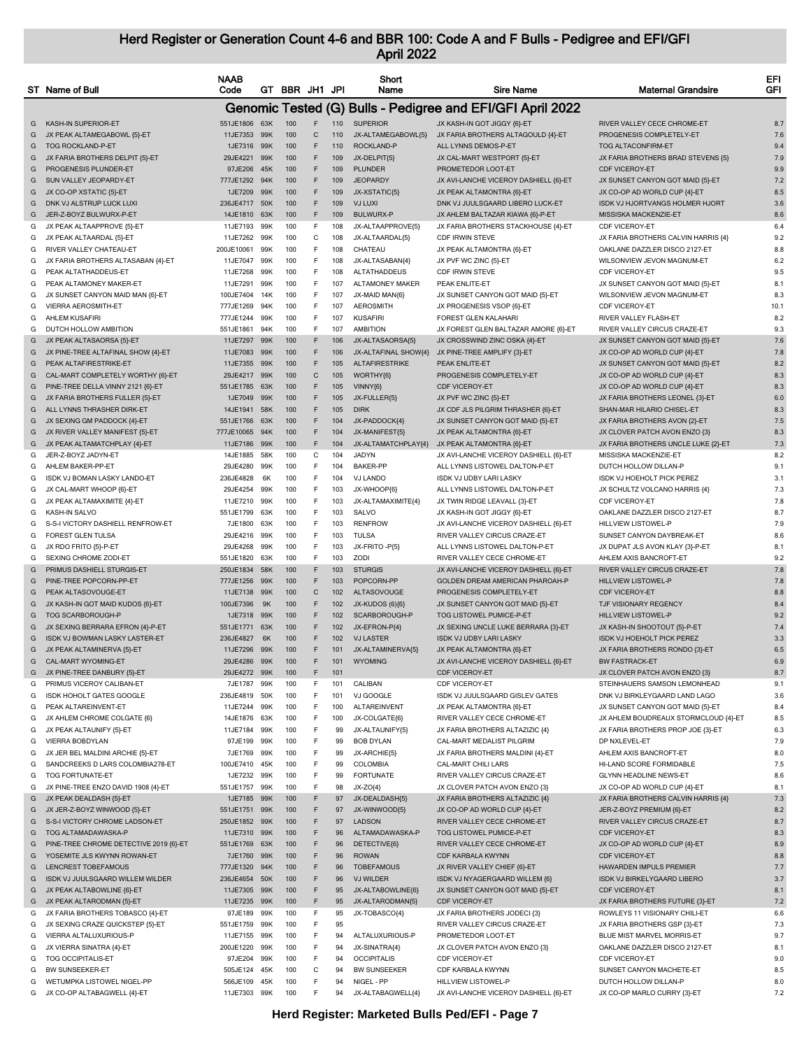|   | ST Name of Bull                        | <b>NAAB</b><br>Code |     | GT BBR JH1 JPI      |     | Short<br>Name          | <b>Sire Name</b>                                           | <b>Maternal Grandsire</b>            | EFI<br>GFI |
|---|----------------------------------------|---------------------|-----|---------------------|-----|------------------------|------------------------------------------------------------|--------------------------------------|------------|
|   |                                        |                     |     |                     |     |                        | Genomic Tested (G) Bulls - Pedigree and EFI/GFI April 2022 |                                      |            |
| G | KASH-IN SUPERIOR-ET                    | 551JE1806 63K       |     | F<br>100            | 110 | <b>SUPERIOR</b>        | JX KASH-IN GOT JIGGY {6}-ET                                | RIVER VALLEY CECE CHROME-ET          | 8.7        |
| G | JX PEAK ALTAMEGABOWL {5}-ET            | 11JE7353            | 99K | 100<br>$\mathsf{C}$ | 110 | JX-ALTAMEGABOWL{5}     | JX FARIA BROTHERS ALTAGOULD {4}-ET                         | PROGENESIS COMPLETELY-ET             | 7.6        |
| G | <b>TOG ROCKLAND-P-ET</b>               | 1JE7316             | 99K | F<br>100            | 110 | ROCKLAND-P             | ALL LYNNS DEMOS-P-ET                                       | <b>TOG ALTACONFIRM-ET</b>            | 9.4        |
| G | JX FARIA BROTHERS DELPIT {5}-ET        | 29JE4221 99K        |     | F<br>100            | 109 | JX-DELPIT{5}           | JX CAL-MART WESTPORT {5}-ET                                | JX FARIA BROTHERS BRAD STEVENS {5}   | 7.9        |
| G | PROGENESIS PLUNDER-ET                  | 97JE206             | 45K | 100<br>F            | 109 | <b>PLUNDER</b>         | PROMETEDOR LOOT-ET                                         | <b>CDF VICEROY-ET</b>                | 9.9        |
| G | SUN VALLEY JEOPARDY-ET                 | 777JE1292           | 94K | 100<br>F            | 109 | <b>JEOPARDY</b>        | JX AVI-LANCHE VICEROY DASHIELL {6}-ET                      | JX SUNSET CANYON GOT MAID {5}-ET     | 7.2        |
| G | JX CO-OP XSTATIC {5}-ET                | 1JE7209             | 99K | 100<br>F            | 109 | JX-XSTATIC(5)          | JX PEAK ALTAMONTRA {6}-ET                                  | JX CO-OP AD WORLD CUP {4}-ET         | 8.5        |
| G | DNK VJ ALSTRUP LUCK LUXI               | 236JE4717           | 50K | F<br>100            | 109 | <b>VJ LUXI</b>         | DNK VJ JUULSGAARD LIBERO LUCK-ET                           | ISDK VJ HJORTVANGS HOLMER HJORT      | 3.6        |
| G | JER-Z-BOYZ BULWURX-P-ET                | 14JE1810            | 63K | 100<br>F            | 109 | <b>BULWURX-P</b>       | JX AHLEM BALTAZAR KIAWA {6}-P-ET                           | MISSISKA MACKENZIE-ET                | 8.6        |
| G | JX PEAK ALTAAPPROVE {5}-ET             | 11JE7193            | 99K | 100<br>F            | 108 | JX-ALTAAPPROVE(5)      | JX FARIA BROTHERS STACKHOUSE {4}-ET                        | CDF VICEROY-ET                       | 6.4        |
| G | JX PEAK ALTAARDAL {5}-ET               | 11JE7262            | 99K | 100<br>С            | 108 | JX-ALTAARDAL{5}        | CDF IRWIN STEVE                                            | JX FARIA BROTHERS CALVIN HARRIS {4}  | 9.2        |
| G | RIVER VALLEY CHATEAU-ET                | 200JE10061          | 99K | F<br>100            | 108 | CHATEAU                | JX PEAK ALTAMONTRA {6}-ET                                  | OAKLANE DAZZLER DISCO 2127-ET        | 8.8        |
| G | JX FARIA BROTHERS ALTASABAN {4}-ET     | 11JE7047            | 99K | 100<br>F            | 108 | JX-ALTASABAN{4}        | JX PVF WC ZINC {5}-ET                                      | WILSONVIEW JEVON MAGNUM-ET           | 6.2        |
| G | PEAK ALTATHADDEUS-ET                   | 11JE7268            | 99K | 100<br>F            | 108 | <b>ALTATHADDEUS</b>    | CDF IRWIN STEVE                                            | CDF VICEROY-ET                       | 9.5        |
| G | PEAK ALTAMONEY MAKER-ET                | 11JE7291            | 99K | 100<br>F            | 107 | <b>ALTAMONEY MAKER</b> | PEAK ENLITE-ET                                             | JX SUNSET CANYON GOT MAID {5}-ET     | 8.1        |
| G | JX SUNSET CANYON MAID MAN {6}-ET       | 100JE7404           | 14K | 100<br>F            | 107 | JX-MAID MAN{6}         | JX SUNSET CANYON GOT MAID {5}-ET                           | WILSONVIEW JEVON MAGNUM-ET           | 8.3        |
| G | VIERRA AEROSMITH-ET                    | 777JE1269           | 94K | F<br>100            | 107 | <b>AEROSMITH</b>       | JX PROGENESIS VSOP {6}-ET                                  | CDF VICEROY-ET                       | 10.1       |
| G | <b>AHLEM KUSAFIRI</b>                  | 777JE1244           | 99K | 100<br>F            | 107 | <b>KUSAFIRI</b>        | FOREST GLEN KALAHARI                                       | RIVER VALLEY FLASH-ET                | 8.2        |
| G | DUTCH HOLLOW AMBITION                  | 551JE1861           | 94K | F.<br>100           | 107 | <b>AMBITION</b>        | JX FOREST GLEN BALTAZAR AMORE {6}-ET                       | RIVER VALLEY CIRCUS CRAZE-ET         | 9.3        |
| G | JX PEAK ALTASAORSA {5}-ET              | 11JE7297            | 99K | 100<br>F            | 106 | JX-ALTASAORSA{5}       | JX CROSSWIND ZINC OSKA {4}-ET                              | JX SUNSET CANYON GOT MAID {5}-ET     | 7.6        |
| G | JX PINE-TREE ALTAFINAL SHOW {4}-ET     | 11JE7083            | 99K | 100<br>F            | 106 | JX-ALTAFINAL SHOW{4}   | JX PINE-TREE AMPLIFY {3}-ET                                | JX CO-OP AD WORLD CUP {4}-ET         | 7.8        |
| G | PEAK ALTAFIRESTRIKE-ET                 | 11JE7355            | 99K | 100<br>F            | 105 | <b>ALTAFIRESTRIKE</b>  | PEAK ENLITE-ET                                             | JX SUNSET CANYON GOT MAID {5}-ET     | 8.2        |
| G | CAL-MART COMPLETELY WORTHY {6}-ET      | 29JE4217            | 99K | 100<br>C            | 105 | WORTHY{6}              | PROGENESIS COMPLETELY-ET                                   | JX CO-OP AD WORLD CUP {4}-ET         | 8.3        |
|   | PINE-TREE DELLA VINNY 2121 {6}-ET      | 551JE1785           | 63K | F<br>100            | 105 |                        | <b>CDF VICEROY-ET</b>                                      | JX CO-OP AD WORLD CUP {4}-ET         | 8.3        |
| G |                                        |                     |     |                     |     | VINNY{6}               |                                                            |                                      |            |
| G | JX FARIA BROTHERS FULLER {5}-ET        | 1JE7049             | 99K | 100<br>F            | 105 | JX-FULLER{5}           | JX PVF WC ZINC {5}-ET                                      | JX FARIA BROTHERS LEONEL {3}-ET      | 6.0        |
| G | ALL LYNNS THRASHER DIRK-ET             | 14JE1941            | 58K | 100<br>F            | 105 | <b>DIRK</b>            | JX CDF JLS PILGRIM THRASHER {6}-ET                         | SHAN-MAR HILARIO CHISEL-ET           | 8.3        |
| G | JX SEXING GM PADDOCK {4}-ET            | 551JE1766           | 63K | 100<br>F            | 104 | JX-PADDOCK{4}          | JX SUNSET CANYON GOT MAID {5}-ET                           | JX FARIA BROTHERS AVON {2}-ET        | 7.5        |
| G | JX RIVER VALLEY MANIFEST {5}-ET        | 777JE10065          | 94K | 100<br>F            | 104 | JX-MANIFEST{5}         | JX PEAK ALTAMONTRA {6}-ET                                  | JX CLOVER PATCH AVON ENZO {3}        | 8.3        |
| G | JX PEAK ALTAMATCHPLAY {4}-ET           | 11JE7186            | 99K | F<br>100            | 104 | JX-ALTAMATCHPLAY{4}    | JX PEAK ALTAMONTRA {6}-ET                                  | JX FARIA BROTHERS UNCLE LUKE {2}-ET  | 7.3        |
| G | JER-Z-BOYZ JADYN-ET                    | 14JE1885            | 58K | 100<br>С            | 104 | JADYN                  | JX AVI-LANCHE VICEROY DASHIELL {6}-ET                      | MISSISKA MACKENZIE-ET                | 8.2        |
| G | AHLEM BAKER-PP-ET                      | 29JE4280            | 99K | 100<br>F            | 104 | <b>BAKER-PP</b>        | ALL LYNNS LISTOWEL DALTON-P-ET                             | DUTCH HOLLOW DILLAN-P                | 9.1        |
| G | ISDK VJ BOMAN LASKY LANDO-ET           | 236JE4828           | 6K  | 100<br>F            | 104 | <b>VJ LANDO</b>        | ISDK VJ UDBY LARI LASKY                                    | ISDK VJ HOEHOLT PICK PEREZ           | 3.1        |
| G | JX CAL-MART WHOOP {6}-ET               | 29JE4254            | 99K | 100<br>F            | 103 | JX-WHOOP{6]            | ALL LYNNS LISTOWEL DALTON-P-ET                             | JX SCHULTZ VOLCANO HARRIS {4}        | 7.3        |
| G | JX PEAK ALTAMAXIMITE {4}-ET            | 11JE7210            | 99K | 100<br>F            | 103 | JX-ALTAMAXIMITE{4}     | JX TWIN RIDGE LEAVALL {3}-ET                               | CDF VICEROY-ET                       | 7.8        |
| G | KASH-IN SALVO                          | 551JE1799           | 63K | F<br>100            | 103 | SALVO                  | JX KASH-IN GOT JIGGY {6}-ET                                | OAKLANE DAZZLER DISCO 2127-ET        | 8.7        |
| G | S-S-I VICTORY DASHIELL RENFROW-ET      | 7JE1800             | 63K | 100<br>F            | 103 | <b>RENFROW</b>         | JX AVI-LANCHE VICEROY DASHIELL {6}-ET                      | HILLVIEW LISTOWEL-P                  | 7.9        |
| G | <b>FOREST GLEN TULSA</b>               | 29JE4216            | 99K | 100<br>F            | 103 | <b>TULSA</b>           | RIVER VALLEY CIRCUS CRAZE-ET                               | SUNSET CANYON DAYBREAK-ET            | 8.6        |
| G | JX RDO FRITO {5}-P-ET                  | 29JE4268            | 99K | 100<br>F            | 103 | JX-FRITO -P{5}         | ALL LYNNS LISTOWEL DALTON-P-ET                             | JX DUPAT JLS AVON KLAY {3}-P-ET      | 8.1        |
| G | SEXING CHROME ZODI-ET                  | 551JE1820           | 63K | 100<br>F            | 103 | ZODI                   | RIVER VALLEY CECE CHROME-ET                                | AHLEM AXIS BANCROFT-ET               | 9.2        |
| G | PRIMUS DASHIELL STURGIS-ET             | 250JE1834           | 58K | 100<br>F            | 103 | <b>STURGIS</b>         | JX AVI-LANCHE VICEROY DASHIELL {6}-ET                      | RIVER VALLEY CIRCUS CRAZE-ET         | 7.8        |
| G | PINE-TREE POPCORN-PP-ET                | 777JE1256           | 99K | F<br>100            | 103 | POPCORN-PP             | GOLDEN DREAM AMERICAN PHAROAH-P                            | <b>HILLVIEW LISTOWEL-P</b>           | 7.8        |
| G | PEAK ALTASOVOUGE-ET                    | 11JE7138            | 99K | $\mathbf C$<br>100  | 102 | ALTASOVOUGE            | PROGENESIS COMPLETELY-ET                                   | CDF VICEROY-ET                       | 8.8        |
| G | JX KASH-IN GOT MAID KUDOS {6}-ET       | 100JE7396           | 9K  | 100<br>F            | 102 | <b>JX-KUDOS (6){6}</b> | JX SUNSET CANYON GOT MAID {5}-ET                           | TJF VISIONARY REGENCY                | 8.4        |
| G | TOG SCARBOROUGH-P                      | 1JE7318             | 99K | 100<br>F            | 102 | SCARBOROUGH-P          | <b>TOG LISTOWEL PUMICE-P-ET</b>                            | <b>HILLVIEW LISTOWEL-P</b>           | 9.2        |
| G | JX SEXING BERRARA EFRON {4}-P-ET       | 551JE1771           | 63K | F<br>100            | 102 | JX-EFRON-P{4}          | JX SEXING UNCLE LUKE BERRARA {3}-ET                        | JX KASH-IN SHOOTOUT {5}-P-ET         | 7.4        |
| G | <b>ISDK VJ BOWMAN LASKY LASTER-ET</b>  | 236JE4827           | 6K  | 100<br>F            | 102 | <b>VJ LASTER</b>       | <b>ISDK VJ UDBY LARI LASKY</b>                             | <b>ISDK VJ HOEHOLT PICK PEREZ</b>    | 3.3        |
| G | JX PEAK ALTAMINERVA {5}-ET             | 11JE7296 99K        |     | 100<br>F            | 101 | JX-ALTAMINERVA(5)      | JX PEAK ALTAMONTRA {6}-ET                                  | JX FARIA BROTHERS RONDO {3}-ET       | 6.5        |
| G | CAL-MART WYOMING-ET                    | 29JE4286            | 99K | 100<br>F            | 101 | <b>WYOMING</b>         | JX AVI-LANCHE VICEROY DASHIELL {6}-ET                      | <b>BW FASTRACK-ET</b>                | 6.9        |
| G | JX PINE-TREE DANBURY {5}-ET            | 29JE4272 99K        |     | 100<br>F            | 101 |                        | CDF VICEROY-ET                                             | JX CLOVER PATCH AVON ENZO {3}        | 8.7        |
| G | PRIMUS VICEROY CALIBAN-ET              | 7JE1787             | 99K | 100<br>F            | 101 | CALIBAN                | CDF VICEROY-ET                                             | STEINHAUERS SAMSON LEMONHEAD         | 9.1        |
| G | ISDK HOHOLT GATES GOOGLE               | 236JE4819           | 50K | F<br>100            | 101 | VJ GOOGLE              | ISDK VJ JUULSGAARD GISLEV GATES                            | DNK VJ BIRKLEYGAARD LAND LAGO        | 3.6        |
| G | PEAK ALTAREINVENT-ET                   | 11JE7244            | 99K | 100<br>F            | 100 | ALTAREINVENT           | JX PEAK ALTAMONTRA {6}-ET                                  | JX SUNSET CANYON GOT MAID {5}-ET     | 8.4        |
| G | JX AHLEM CHROME COLGATE {6}            | 14JE1876            | 63K | 100<br>F            | 100 | JX-COLGATE{6}          | RIVER VALLEY CECE CHROME-ET                                | JX AHLEM BOUDREAUX STORMCLOUD {4}-ET | 8.5        |
| G | JX PEAK ALTAUNIFY {5}-ET               | 11JE7184            | 99K | F<br>100            | 99  | JX-ALTAUNIFY{5}        | JX FARIA BROTHERS ALTAZIZIC {4}                            | JX FARIA BROTHERS PROP JOE {3}-ET    | 6.3        |
| G | <b>VIERRA BOBDYLAN</b>                 | 97JE199             | 99K | F<br>100            | 99  | <b>BOB DYLAN</b>       | CAL-MART MEDALIST PILGRIM                                  | DP NXLEVEL-ET                        | 7.9        |
| G | JX JER BEL MALDINI ARCHIE {5}-ET       | 7JE1769             | 99K | 100<br>F            | 99  | JX-ARCHIE{5}           | JX FARIA BROTHERS MALDINI {4}-ET                           | AHLEM AXIS BANCROFT-ET               | 8.0        |
| G | SANDCREEKS D LARS COLOMBIA278-ET       | 100JE7410           | 45K | 100<br>F            | 99  | COLOMBIA               | <b>CAL-MART CHILI LARS</b>                                 | HI-LAND SCORE FORMIDABLE             | 7.5        |
| G | <b>TOG FORTUNATE-ET</b>                | 1JE7232             | 99K | F<br>100            | 99  | <b>FORTUNATE</b>       | RIVER VALLEY CIRCUS CRAZE-ET                               | <b>GLYNN HEADLINE NEWS-ET</b>        | 8.6        |
| G | JX PINE-TREE ENZO DAVID 1908 {4}-ET    | 551JE1757           | 99K | 100<br>F            | 98  | $JX-ZO{4}$             | JX CLOVER PATCH AVON ENZO {3}                              | JX CO-OP AD WORLD CUP {4}-ET         | 8.1        |
| G | JX PEAK DEALDASH {5}-ET                | 1JE7185             | 99K | 100<br>F            | 97  | JX-DEALDASH{5}         | JX FARIA BROTHERS ALTAZIZIC {4}                            | JX FARIA BROTHERS CALVIN HARRIS {4}  | 7.3        |
| G | JX JER-Z-BOYZ WINWOOD {5}-ET           | 551JE1751           | 99K | 100<br>F            | 97  | JX-WINWOOD{5}          | JX CO-OP AD WORLD CUP {4}-ET                               | JER-Z-BOYZ PREMIUM {6}-ET            | 8.2        |
| G | S-S-I VICTORY CHROME LADSON-ET         | 250JE1852 99K       |     | F<br>100            | 97  | <b>LADSON</b>          | RIVER VALLEY CECE CHROME-ET                                | RIVER VALLEY CIRCUS CRAZE-ET         | 8.7        |
| G | TOG ALTAMADAWASKA-P                    | 11JE7310            | 99K | 100<br>F            | 96  | ALTAMADAWASKA-P        | TOG LISTOWEL PUMICE-P-ET                                   | CDF VICEROY-ET                       | 8.3        |
| G | PINE-TREE CHROME DETECTIVE 2019 {6}-ET | 551JE1769           | 63K | 100<br>F            | 96  | DETECTIVE{6}           | RIVER VALLEY CECE CHROME-ET                                | JX CO-OP AD WORLD CUP {4}-ET         | 8.9        |
| G | YOSEMITE JLS KWYNN ROWAN-ET            | 7JE1760             | 99K | 100<br>F            | 96  | <b>ROWAN</b>           | CDF KARBALA KWYNN                                          | CDF VICEROY-ET                       | 8.8        |
| G | LENCREST TOBEFAMOUS                    | 777JE1320           | 94K | F<br>100            | 96  | <b>TOBEFAMOUS</b>      | JX RIVER VALLEY CHIEF {6}-ET                               | HAWARDEN IMPULS PREMIER              | 7.7        |
|   | ISDK VJ JUULSGAARD WILLEM WILDER       |                     | 50K | 100<br>F            | 96  | <b>VJ WILDER</b>       | ISDK VJ NYAGERGAARD WILLEM {6}                             |                                      | 3.7        |
| G |                                        | 236JE4654           |     |                     |     |                        |                                                            | ISDK VJ BIRKELYGAARD LIBERO          |            |
| G | JX PEAK ALTABOWLINE {6}-ET             | 11JE7305            | 99K | 100<br>F            | 95  | JX-ALTABOWLINE{6}      | JX SUNSET CANYON GOT MAID {5}-ET                           | CDF VICEROY-ET                       | 8.1        |
| G | JX PEAK ALTARODMAN {5}-ET              | 11JE7235            | 99K | 100<br>F            | 95  | JX-ALTARODMAN{5}       | CDF VICEROY-ET                                             | JX FARIA BROTHERS FUTURE {3}-ET      | 7.2        |
| G | JX FARIA BROTHERS TOBASCO {4}-ET       | 97JE189             | 99K | F<br>100            | 95  | JX-TOBASCO{4}          | JX FARIA BROTHERS JODECI {3}                               | ROWLEYS 11 VISIONARY CHILI-ET        | 6.6        |
| G | JX SEXING CRAZE QUICKSTEP {5}-ET       | 551JE1759           | 99K | 100<br>F            | 95  |                        | RIVER VALLEY CIRCUS CRAZE-ET                               | JX FARIA BROTHERS GSP {3}-ET         | 7.3        |
| G | VIERRA ALTALUXURIOUS-P                 | 11JE7155            | 99K | 100<br>F            | 94  | ALTALUXURIOUS-P        | PROMETEDOR LOOT-ET                                         | BLUE MIST MARVEL MORRIS-ET           | 9.7        |
| G | JX VIERRA SINATRA {4}-ET               | 200JE1220           | 99K | 100<br>F            | 94  | JX-SINATRA{4}          | JX CLOVER PATCH AVON ENZO {3}                              | OAKLANE DAZZLER DISCO 2127-ET        | 8.1        |
| G | TOG OCCIPITALIS-ET                     | 97JE204             | 99K | F<br>100            | 94  | <b>OCCIPITALIS</b>     | CDF VICEROY-ET                                             | CDF VICEROY-ET                       | 9.0        |
| G | BW SUNSEEKER-ET                        | 505JE124            | 45K | C<br>100            | 94  | <b>BW SUNSEEKER</b>    | CDF KARBALA KWYNN                                          | SUNSET CANYON MACHETE-ET             | 8.5        |
| G | WETUMPKA LISTOWEL NIGEL-PP             | 566JE109            | 45K | F<br>100            | 94  | NIGEL - PP             | HILLVIEW LISTOWEL-P                                        | DUTCH HOLLOW DILLAN-P                | 8.0        |
|   | G JX CO-OP ALTABAGWELL {4}-ET          | 11JE7303 99K        |     | F<br>100            | 94  | JX-ALTABAGWELL{4}      | JX AVI-LANCHE VICEROY DASHIELL {6}-ET                      | JX CO-OP MARLO CURRY {3}-ET          | 7.2        |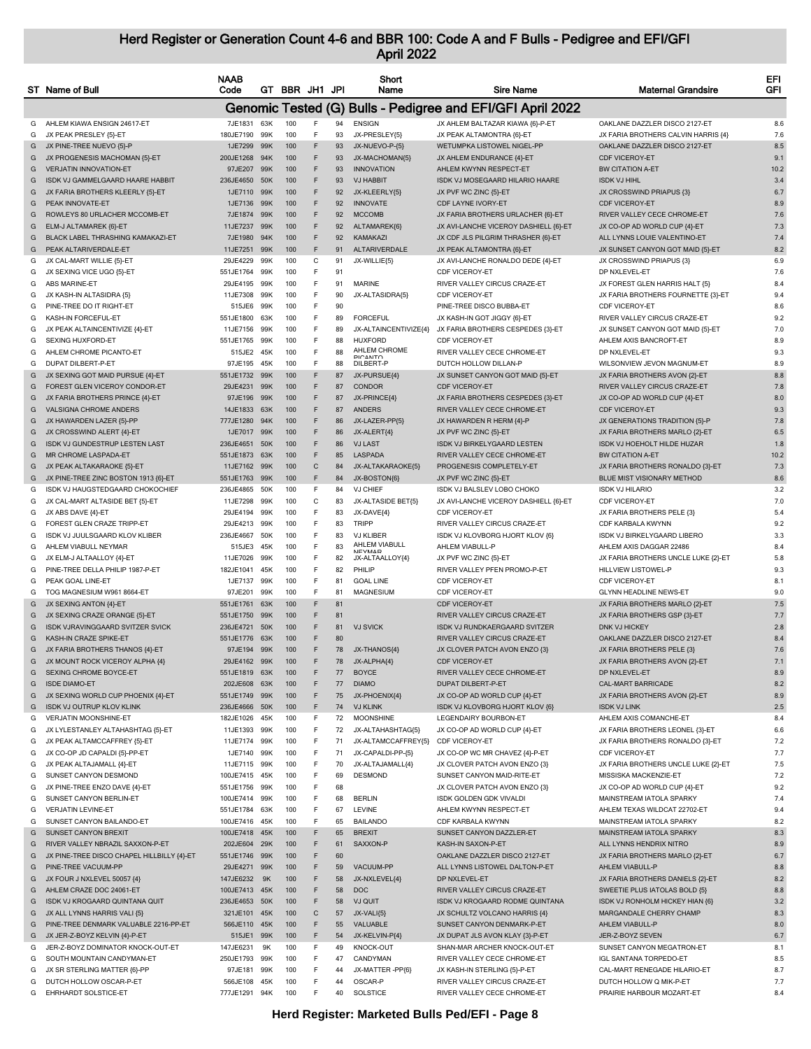|        | ST Name of Bull                                                    | <b>NAAB</b><br>Code          |                 | GT BBR JH1 JPI  |                    | Short<br>Name                       | <b>Sire Name</b>                                                 | <b>Maternal Grandsire</b>                                     | EFI<br>GFI  |
|--------|--------------------------------------------------------------------|------------------------------|-----------------|-----------------|--------------------|-------------------------------------|------------------------------------------------------------------|---------------------------------------------------------------|-------------|
|        |                                                                    |                              |                 |                 |                    |                                     | Genomic Tested (G) Bulls - Pedigree and EFI/GFI April 2022       |                                                               |             |
| G      | AHLEM KIAWA ENSIGN 24617-ET                                        | 7JE1831                      | 63K             | 100             | 94<br>F            | <b>ENSIGN</b>                       | JX AHLEM BALTAZAR KIAWA {6}-P-ET                                 | OAKLANE DAZZLER DISCO 2127-ET                                 | 8.6         |
| G      | JX PEAK PRESLEY {5}-ET                                             | 180JE7190                    | 99K             | 100             | F<br>93            | JX-PRESLEY{5}                       | JX PEAK ALTAMONTRA {6}-ET                                        | JX FARIA BROTHERS CALVIN HARRIS {4}                           | 7.6         |
| G      | JX PINE-TREE NUEVO {5}-P                                           | 1JE7299 99K<br>200JE1268 94K |                 | 100             | F<br>93            | JX-NUEVO-P-{5}                      | WETUMPKA LISTOWEL NIGEL-PP                                       | OAKLANE DAZZLER DISCO 2127-ET<br>CDF VICEROY-FT               | 8.5         |
| G<br>G | JX PROGENESIS MACHOMAN {5}-ET<br><b>VERJATIN INNOVATION-ET</b>     | 97JE207                      | 99K             | 100<br>100      | F<br>93<br>F<br>93 | JX-MACHOMAN{5}<br><b>INNOVATION</b> | JX AHLEM ENDURANCE {4}-ET<br>AHLEM KWYNN RESPECT-ET              | <b>BW CITATION A-ET</b>                                       | 9.1<br>10.2 |
| G      | ISDK VJ GAMMELGAARD HAARE HABBIT                                   | 236JE4650                    | 50K             | 100             | F<br>93            | <b>VJ HABBIT</b>                    | ISDK VJ MOSEGAARD HILARIO HAARE                                  | <b>ISDK VJ HIHL</b>                                           | 3.4         |
| G      | JX FARIA BROTHERS KLEERLY {5}-ET                                   | 1JE7110                      | 99K             | 100             | F<br>92            | JX-KLEERLY{5}                       | JX PVF WC ZINC {5}-ET                                            | JX CROSSWIND PRIAPUS {3}                                      | 6.7         |
| G      | PEAK INNOVATE-ET                                                   | 1JE7136                      | 99K             | 100             | F<br>92            | <b>INNOVATE</b>                     | CDF LAYNE IVORY-ET                                               | CDF VICEROY-ET                                                | 8.9         |
| G      | ROWLEYS 80 URLACHER MCCOMB-ET                                      | 7JE1874                      | 99K             | 100             | F<br>92            | <b>MCCOMB</b>                       | JX FARIA BROTHERS URLACHER {6}-ET                                | RIVER VALLEY CECE CHROME-ET                                   | 7.6         |
| G      | ELM-J ALTAMAREK {6}-ET                                             | 11JE7237                     | 99K             | 100             | F<br>92            | ALTAMAREK{6}                        | JX AVI-LANCHE VICEROY DASHIELL {6}-ET                            | JX CO-OP AD WORLD CUP {4}-ET                                  | 7.3         |
| G      | BLACK LABEL THRASHING KAMAKAZI-ET                                  | 7JE1980                      | 94K             | 100             | F<br>92            | <b>KAMAKAZI</b>                     | JX CDF JLS PILGRIM THRASHER {6}-ET                               | ALL LYNNS LOUIE VALENTINO-ET                                  | 7.4         |
| G      | PEAK ALTARIVERDALE-ET                                              | 11JE7251                     | 99K             | 100             | F<br>91            | ALTARIVERDALE                       | JX PEAK ALTAMONTRA {6}-ET                                        | JX SUNSET CANYON GOT MAID {5}-ET                              | 8.2         |
| G<br>G | JX CAL-MART WILLIE {5}-ET<br>JX SEXING VICE UGO {5}-ET             | 29JE4229<br>551JE1764        | 99K<br>99K      | 100<br>100      | С<br>91<br>F<br>91 | JX-WILLIE{5}                        | JX AVI-LANCHE RONALDO DEDE {4}-ET<br>CDF VICEROY-ET              | JX CROSSWIND PRIAPUS {3}<br>DP NXLEVEL-ET                     | 6.9<br>7.6  |
| G      | ABS MARINE-ET                                                      | 29JE4195                     | 99K             | 100             | F<br>91            | <b>MARINE</b>                       | RIVER VALLEY CIRCUS CRAZE-ET                                     | JX FOREST GLEN HARRIS HALT {5}                                | 8.4         |
| G      | JX KASH-IN ALTASIDRA {5}                                           | 11JE7308                     | 99K             | 100             | F<br>90            | JX-ALTASIDRA{5}                     | CDF VICEROY-ET                                                   | JX FARIA BROTHERS FOURNETTE {3}-ET                            | 9.4         |
| G      | PINE-TREE DO IT RIGHT-ET                                           | 515JE6                       | 99K             | 100             | F<br>90            |                                     | PINE-TREE DISCO BUBBA-ET                                         | CDF VICEROY-ET                                                | 8.6         |
| G      | KASH-IN FORCEFUL-ET                                                | 551JE1800                    | 63K             | 100             | F<br>89            | <b>FORCEFUL</b>                     | JX KASH-IN GOT JIGGY {6}-ET                                      | RIVER VALLEY CIRCUS CRAZE-ET                                  | 9.2         |
| G      | JX PEAK ALTAINCENTIVIZE {4}-ET                                     | 11JE7156                     | 99K             | 100             | F<br>89            | JX-ALTAINCENTIVIZE{4}               | JX FARIA BROTHERS CESPEDES {3}-ET                                | JX SUNSET CANYON GOT MAID {5}-ET                              | 7.0         |
| G      | SEXING HUXFORD-ET                                                  | 551JE1765                    | 99K             | 100             | F<br>88            | <b>HUXFORD</b>                      | CDF VICEROY-ET                                                   | AHLEM AXIS BANCROFT-ET                                        | 8.9         |
| G      | AHLEM CHROME PICANTO-ET                                            | 515JE2 45K                   |                 | 100             | F<br>88            | AHLEM CHROME<br><b>DICANTO</b>      | RIVER VALLEY CECE CHROME-ET                                      | DP NXLEVEL-ET                                                 | 9.3         |
| G      | DUPAT DILBERT-P-ET                                                 | 97JE195                      | 45K             | 100             | F<br>88            | DILBERT-P                           | DUTCH HOLLOW DILLAN-P                                            | WILSONVIEW JEVON MAGNUM-ET                                    | 8.9         |
| G<br>G | JX SEXING GOT MAID PURSUE {4}-ET<br>FOREST GLEN VICEROY CONDOR-ET  | 551JE1732<br>29JE4231        | 99K<br>99K      | 100<br>100      | F<br>87<br>F<br>87 | JX-PURSUE{4}<br>CONDOR              | JX SUNSET CANYON GOT MAID {5}-ET<br>CDF VICEROY-ET               | JX FARIA BROTHERS AVON {2}-ET<br>RIVER VALLEY CIRCUS CRAZE-ET | 8.8<br>7.8  |
| G      | JX FARIA BROTHERS PRINCE {4}-ET                                    | 97JE196                      | 99K             | 100             | F<br>87            | JX-PRINCE{4}                        | JX FARIA BROTHERS CESPEDES {3}-ET                                | JX CO-OP AD WORLD CUP {4}-ET                                  | 8.0         |
| G      | <b>VALSIGNA CHROME ANDERS</b>                                      | 14JE1833                     | 63K             | 100             | F<br>87            | <b>ANDERS</b>                       | RIVER VALLEY CECE CHROME-ET                                      | CDF VICEROY-ET                                                | 9.3         |
| G      | JX HAWARDEN LAZER {5}-PP                                           | 777JE1280                    | 94K             | 100             | F<br>86            | JX-LAZER-PP{5}                      | JX HAWARDEN R HERM {4}-P                                         | JX GENERATIONS TRADITION {5}-P                                | 7.8         |
| G      | JX CROSSWIND ALERT {4}-ET                                          | 1JE7017 99K                  |                 | 100             | F<br>86            | JX-ALERT{4]                         | JX PVF WC ZINC {5}-ET                                            | JX FARIA BROTHERS MARLO {2}-ET                                | 6.5         |
| G      | ISDK VJ GUNDESTRUP LESTEN LAST                                     | 236JE4651                    | 50K             | 100             | F<br>86            | <b>VJ LAST</b>                      | ISDK VJ BIRKELYGAARD LESTEN                                      | ISDK VJ HOEHOLT HILDE HUZAR                                   | 1.8         |
| G      | MR CHROME LASPADA-ET                                               | 551JE1873                    | 63K             | 100             | F<br>85            | LASPADA                             | RIVER VALLEY CECE CHROME-ET                                      | <b>BW CITATION A-ET</b>                                       | 10.2        |
| G      | JX PEAK ALTAKARAOKE {5}-ET                                         | 11JE7162                     | 99K             | 100             | $\mathsf C$<br>84  | JX-ALTAKARAOKE{5}                   | PROGENESIS COMPLETELY-ET                                         | JX FARIA BROTHERS RONALDO {3}-ET                              | 7.3         |
| G      | JX PINE-TREE ZINC BOSTON 1913 {6}-ET                               | 551JE1763 99K                |                 | 100             | F<br>84            | JX-BOSTON{6}                        | JX PVF WC ZINC {5}-ET                                            | BLUE MIST VISIONARY METHOD                                    | 8.6         |
| G      | ISDK VJ HAUGSTEDGAARD CHOKOCHIEF                                   | 236JE4865                    | 50K             | 100<br>F        | 84                 | <b>VJ CHIEF</b>                     | ISDK VJ BALSLEV LOBO CHOKO                                       | <b>ISDK VJ HILARIO</b>                                        | 3.2         |
| G      | JX CAL-MART ALTASIDE BET {5}-ET                                    | 11JE7298                     | 99K             | 100             | С<br>83            | JX-ALTASIDE BET(5)                  | JX AVI-LANCHE VICEROY DASHIELL {6}-ET                            | <b>CDF VICEROY-ET</b>                                         | 7.0         |
| G      | JX ABS DAVE {4}-ET<br>FOREST GLEN CRAZE TRIPP-ET                   | 29JE4194                     | 99K             | 100<br>100      | F<br>83<br>F<br>83 | JX-DAVE{4}<br><b>TRIPP</b>          | <b>CDF VICEROY-ET</b>                                            | JX FARIA BROTHERS PELE {3}                                    | 5.4<br>9.2  |
| G<br>G | ISDK VJ JUULSGAARD KLOV KLIBER                                     | 29JE4213<br>236JE4667        | 99K<br>50K      | 100             | F<br>83            | <b>VJ KLIBER</b>                    | RIVER VALLEY CIRCUS CRAZE-ET<br>ISDK VJ KLOVBORG HJORT KLOV {6}  | CDF KARBALA KWYNN<br>ISDK VJ BIRKELYGAARD LIBERO              | 3.3         |
| G      | AHLEM VIABULL NEYMAR                                               | 515JE3                       | 45K             | 100             | 83<br>F            | AHLEM VIABULL                       | AHLEM VIABULL-P                                                  | AHLEM AXIS DAGGAR 22486                                       | 8.4         |
| G      | JX ELM-J ALTAALLOY {4}-ET                                          | 11JE7026                     | 99K             | 100             | F<br>82            | NIEVMAD<br>JX-ALTAALLOY{4}          | JX PVF WC ZINC {5}-ET                                            | JX FARIA BROTHERS UNCLE LUKE {2}-ET                           | 5.8         |
| G      | PINE-TREE DELLA PHILIP 1987-P-ET                                   | 182JE1041                    | 45K             | 100             | F<br>82            | PHILIP                              | RIVER VALLEY PFEN PROMO-P-ET                                     | HILLVIEW LISTOWEL-P                                           | 9.3         |
| G      | PEAK GOAL LINE-ET                                                  | 1JE7137                      | 99K             | 100             | F<br>81            | <b>GOAL LINE</b>                    | CDF VICEROY-ET                                                   | <b>CDF VICEROY-ET</b>                                         | 8.1         |
| G      | TOG MAGNESIUM W961 8664-ET                                         | 97JE201                      | 99K             | 100             | F<br>81            | <b>MAGNESIUM</b>                    | CDF VICEROY-ET                                                   | <b>GLYNN HEADLINE NEWS-ET</b>                                 | 9.0         |
| G      | JX SEXING ANTON {4}-ET                                             | 551JE1761                    | 63K             | 100             | F<br>81            |                                     | <b>CDF VICEROY-ET</b>                                            | JX FARIA BROTHERS MARLO {2}-ET                                | 7.5         |
| G      | JX SEXING CRAZE ORANGE {5}-ET                                      | 551JE1750                    | 99K             | 100             | F<br>81            |                                     | RIVER VALLEY CIRCUS CRAZE-ET                                     | JX FARIA BROTHERS GSP {3}-ET                                  | 7.7         |
| G      | ISDK VJRAVINGGAARD SVITZER SVICK                                   | 236JE4721                    | 50 <sub>K</sub> | 100             | F<br>81            | <b>VJ SVICK</b>                     | ISDK VJ RUNDKAERGAARD SVITZER                                    | <b>DNK VJ HICKEY</b>                                          | 2.8         |
| G      | KASH-IN CRAZE SPIKE-ET                                             | 551JE1776<br>97JE194         | 63K             | 100             | F<br>80<br>F       |                                     | RIVER VALLEY CIRCUS CRAZE-ET                                     | OAKLANE DAZZLER DISCO 2127-ET                                 | 8.4         |
| G<br>G | JX FARIA BROTHERS THANOS {4}-ET<br>JX MOUNT ROCK VICEROY ALPHA {4} | 29JE4162 99K                 | 99K             | 100<br>100<br>E | 78<br>78           | JX-THANOS{4}<br>JX-ALPHA{4}         | JX CLOVER PATCH AVON ENZO {3}<br><b>CDF VICEROY-ET</b>           | JX FARIA BROTHERS PELE {3}<br>JX FARIA BROTHERS AVON {2}-ET   | 7.6<br>7.1  |
| G      | SEXING CHROME BOYCE-ET                                             | 551JE1819 63K                |                 | 100<br>F        | 77                 | <b>BOYCE</b>                        | RIVER VALLEY CECE CHROME-ET                                      | DP NXLEVEL-ET                                                 | 8.9         |
| G      | <b>ISDE DIAMO-ET</b>                                               | 202JE608 63K                 |                 | 100             | F<br>77            | <b>DIAMO</b>                        | DUPAT DILBERT-P-ET                                               | CAL-MART BARRICADE                                            | 8.2         |
| G      | JX SEXING WORLD CUP PHOENIX {4}-ET                                 | 551JE1749                    | 99K             | 100             | F<br>75            | JX-PHOENIX{4}                       | JX CO-OP AD WORLD CUP {4}-ET                                     | JX FARIA BROTHERS AVON {2}-ET                                 | 8.9         |
| G      | <b>ISDK VJ OUTRUP KLOV KLINK</b>                                   | 236JE4666 50K                |                 | 100             | F<br>74            | <b>VJ KLINK</b>                     | ISDK VJ KLOVBORG HJORT KLOV {6}                                  | <b>ISDK VJ LINK</b>                                           | 2.5         |
| G      | <b>VERJATIN MOONSHINE-ET</b>                                       | 182JE1026                    | 45K             | 100             | F<br>72            | <b>MOONSHINE</b>                    | LEGENDAIRY BOURBON-ET                                            | AHLEM AXIS COMANCHE-ET                                        | 8.4         |
| G      | JX LYLESTANLEY ALTAHASHTAG {5}-ET                                  | 11JE1393                     | 99K             | 100             | F<br>72            | JX-ALTAHASHTAG{5}                   | JX CO-OP AD WORLD CUP {4}-ET                                     | JX FARIA BROTHERS LEONEL {3}-ET                               | 6.6         |
| G      | JX PEAK ALTAMCCAFFREY {5}-ET                                       | 11JE7174 99K                 |                 | 100             | F<br>71            | JX-ALTAMCCAFFREY{5}                 | CDF VICEROY-ET                                                   | JX FARIA BROTHERS RONALDO {3}-ET                              | 7.2         |
| G      | JX CO-OP JD CAPALDI {5}-PP-ET                                      | 1JE7140                      | 99K             | 100             | F<br>71            | JX-CAPALDI-PP-{5}                   | JX CO-OP WC MR CHAVEZ {4}-P-ET                                   | CDF VICEROY-ET                                                | 7.7         |
| G      | JX PEAK ALTAJAMALL {4}-ET<br>SUNSET CANYON DESMOND                 | 11JE7115                     | 99K             | 100             | F<br>70<br>F       | JX-ALTAJAMALL{4}<br><b>DESMOND</b>  | JX CLOVER PATCH AVON ENZO {3}                                    | JX FARIA BROTHERS UNCLE LUKE {2}-ET                           | 7.5         |
| G<br>G | JX PINE-TREE ENZO DAVE {4}-ET                                      | 100JE7415<br>551JE1756       | 45K<br>99K      | 100<br>100      | 69<br>F<br>68      |                                     | SUNSET CANYON MAID-RITE-ET<br>JX CLOVER PATCH AVON ENZO {3}      | MISSISKA MACKENZIE-ET<br>JX CO-OP AD WORLD CUP {4}-ET         | 7.2<br>9.2  |
| G      | SUNSET CANYON BERLIN-ET                                            | 100JE7414                    | 99K             | 100             | F<br>68            | <b>BERLIN</b>                       | ISDK GOLDEN GDK VIVALDI                                          | MAINSTREAM IATOLA SPARKY                                      | 7.4         |
| G      | <b>VERJATIN LEVINE-ET</b>                                          | 551JE1784                    | 63K             | 100             | F<br>67            | LEVINE                              | AHLEM KWYNN RESPECT-ET                                           | AHLEM TEXAS WILDCAT 22702-ET                                  | 9.4         |
| G      | SUNSET CANYON BAILANDO-ET                                          | 100JE7416                    | 45K             | 100             | F<br>65            | <b>BAILANDO</b>                     | CDF KARBALA KWYNN                                                | MAINSTREAM IATOLA SPARKY                                      | 8.2         |
| G      | <b>SUNSET CANYON BREXIT</b>                                        | 100JE7418                    | 45K             | 100             | F<br>65            | <b>BREXIT</b>                       | SUNSET CANYON DAZZLER-ET                                         | <b>MAINSTREAM IATOLA SPARKY</b>                               | 8.3         |
| G      | RIVER VALLEY NBRAZIL SAXXON-P-ET                                   | 202JE604                     | 29K             | 100             | F<br>61            | SAXXON-P                            | KASH-IN SAXON-P-ET                                               | ALL LYNNS HENDRIX NITRO                                       | 8.9         |
| G      | JX PINE-TREE DISCO CHAPEL HILLBILLY {4}-ET                         | 551JE1746                    | 99K             | 100             | F<br>60            |                                     | OAKLANE DAZZLER DISCO 2127-ET                                    | JX FARIA BROTHERS MARLO {2}-ET                                | 6.7         |
| G      | PINE-TREE VACUUM-PP                                                | 29JE4271 99K                 |                 | 100             | F<br>59            | VACUUM-PP                           | ALL LYNNS LISTOWEL DALTON-P-ET                                   | AHLEM VIABULL-P                                               | 8.8         |
| G      | JX FOUR J NXLEVEL 50057 {4}                                        | 147JE6232                    | 9K              | 100             | F<br>58            | JX-NXLEVEL{4}                       | DP NXLEVEL-ET                                                    | JX FARIA BROTHERS DANIELS {2}-ET                              | 8.2         |
| G      | AHLEM CRAZE DOC 24061-ET                                           | 100JE7413                    | 45K             | 100             | F<br>58            | <b>DOC</b>                          | RIVER VALLEY CIRCUS CRAZE-ET                                     | SWEETIE PLUS IATOLAS BOLD {5}                                 | 8.8         |
| G<br>G | ISDK VJ KROGAARD QUINTANA QUIT<br>JX ALL LYNNS HARRIS VALI {5}     | 236JE4653 50K<br>321JE101    | 45K             | 100<br>100      | F<br>58<br>C<br>57 | VJ QUIT<br>JX-VALI{5}               | ISDK VJ KROGAARD RODME QUINTANA<br>JX SCHULTZ VOLCANO HARRIS {4} | ISDK VJ RONHOLM HICKEY HIAN {6}<br>MARGANDALE CHERRY CHAMP    | 3.2<br>8.3  |
| G      | PINE-TREE DENMARK VALUABLE 2216-PP-ET                              | 566JE110                     | 45K             | 100             | F<br>55            | VALUABLE                            | SUNSET CANYON DENMARK-P-ET                                       | AHLEM VIABULL-P                                               | 8.0         |
| G      | JX JER-Z-BOYZ KELVIN {4}-P-ET                                      | 515JE1                       | 99K             | 100             | F<br>54            | JX-KELVIN-P{4}                      | JX DUPAT JLS AVON KLAY {3}-P-ET                                  | JER-Z-BOYZ SEVEN                                              | 6.7         |
| G      | JER-Z-BOYZ DOMINATOR KNOCK-OUT-ET                                  | 147JE6231                    | 9K              | 100             | F<br>49            | KNOCK-OUT                           | SHAN-MAR ARCHER KNOCK-OUT-ET                                     | SUNSET CANYON MEGATRON-ET                                     | 8.1         |
| G      | SOUTH MOUNTAIN CANDYMAN-ET                                         | 250JE1793                    | 99K             | 100             | F<br>47            | CANDYMAN                            | RIVER VALLEY CECE CHROME-ET                                      | <b>IGL SANTANA TORPEDO-ET</b>                                 | 8.5         |
| G      | JX SR STERLING MATTER {6}-PP                                       | 97JE181                      | 99K             | 100             | F<br>44            | JX-MATTER-PP{6}                     | JX KASH-IN STERLING {5}-P-ET                                     | CAL-MART RENEGADE HILARIO-ET                                  | 8.7         |
| G      | DUTCH HOLLOW OSCAR-P-ET                                            | 566JE108                     | 45K             | 100             | F<br>44            | OSCAR-P                             | RIVER VALLEY CIRCUS CRAZE-ET                                     | DUTCH HOLLOW Q MIK-P-ET                                       | 7.7         |
| G      | EHRHARDT SOLSTICE-ET                                               | 777JE1291 94K                |                 | 100             | F<br>40            | SOLSTICE                            | RIVER VALLEY CECE CHROME-ET                                      | PRAIRIE HARBOUR MOZART-ET                                     | 8.4         |